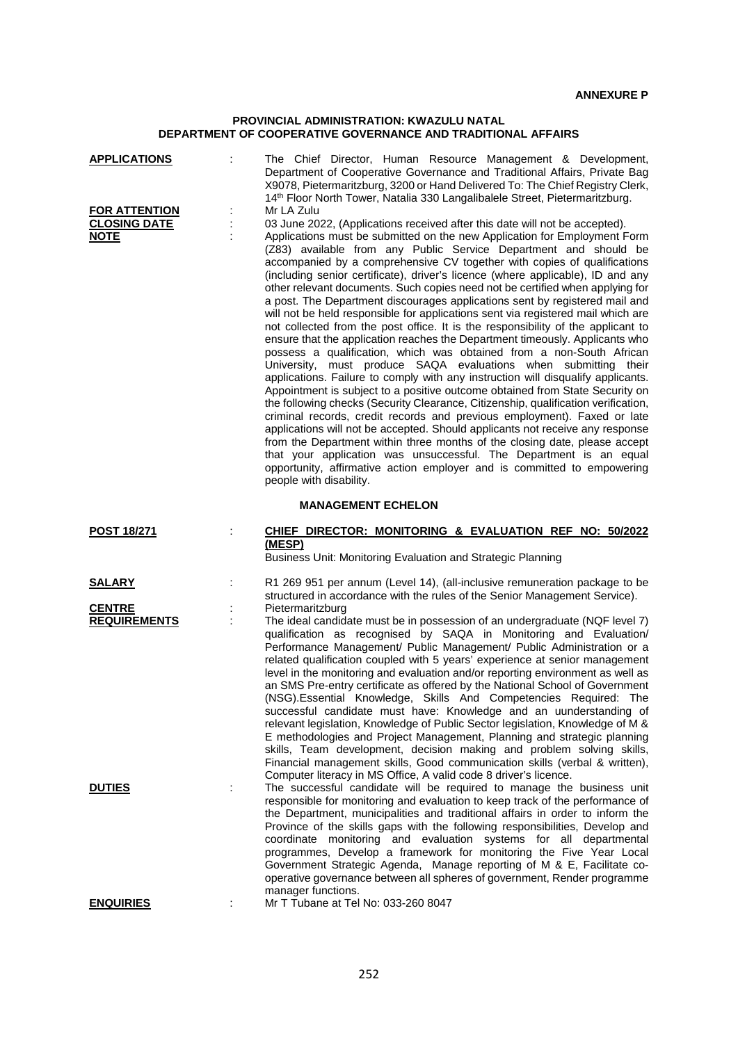## **PROVINCIAL ADMINISTRATION: KWAZULU NATAL DEPARTMENT OF COOPERATIVE GOVERNANCE AND TRADITIONAL AFFAIRS**

| <b>APPLICATIONS</b>                                        |   | The Chief Director, Human Resource Management & Development,<br>Department of Cooperative Governance and Traditional Affairs, Private Bag<br>X9078, Pietermaritzburg, 3200 or Hand Delivered To: The Chief Registry Clerk,<br>14th Floor North Tower, Natalia 330 Langalibalele Street, Pietermaritzburg.                                                                                                                                                                                                                                                                                                                                                                                                                                                                                                                                                                                                                                                                                                                                                                                                                                                                                                                                                                                                                                                                                                                                                                                                                                                                                                                                                     |
|------------------------------------------------------------|---|---------------------------------------------------------------------------------------------------------------------------------------------------------------------------------------------------------------------------------------------------------------------------------------------------------------------------------------------------------------------------------------------------------------------------------------------------------------------------------------------------------------------------------------------------------------------------------------------------------------------------------------------------------------------------------------------------------------------------------------------------------------------------------------------------------------------------------------------------------------------------------------------------------------------------------------------------------------------------------------------------------------------------------------------------------------------------------------------------------------------------------------------------------------------------------------------------------------------------------------------------------------------------------------------------------------------------------------------------------------------------------------------------------------------------------------------------------------------------------------------------------------------------------------------------------------------------------------------------------------------------------------------------------------|
| <b>FOR ATTENTION</b><br><b>CLOSING DATE</b><br><b>NOTE</b> | ÷ | Mr LA Zulu<br>03 June 2022, (Applications received after this date will not be accepted).<br>Applications must be submitted on the new Application for Employment Form<br>(Z83) available from any Public Service Department and should be<br>accompanied by a comprehensive CV together with copies of qualifications<br>(including senior certificate), driver's licence (where applicable), ID and any<br>other relevant documents. Such copies need not be certified when applying for<br>a post. The Department discourages applications sent by registered mail and<br>will not be held responsible for applications sent via registered mail which are<br>not collected from the post office. It is the responsibility of the applicant to<br>ensure that the application reaches the Department timeously. Applicants who<br>possess a qualification, which was obtained from a non-South African<br>University, must produce SAQA evaluations when submitting their<br>applications. Failure to comply with any instruction will disqualify applicants.<br>Appointment is subject to a positive outcome obtained from State Security on<br>the following checks (Security Clearance, Citizenship, qualification verification,<br>criminal records, credit records and previous employment). Faxed or late<br>applications will not be accepted. Should applicants not receive any response<br>from the Department within three months of the closing date, please accept<br>that your application was unsuccessful. The Department is an equal<br>opportunity, affirmative action employer and is committed to empowering<br>people with disability. |
|                                                            |   | <b>MANAGEMENT ECHELON</b>                                                                                                                                                                                                                                                                                                                                                                                                                                                                                                                                                                                                                                                                                                                                                                                                                                                                                                                                                                                                                                                                                                                                                                                                                                                                                                                                                                                                                                                                                                                                                                                                                                     |
| <b>POST 18/271</b>                                         |   | CHIEF DIRECTOR: MONITORING & EVALUATION REF NO: 50/2022<br>(MESP)<br>Business Unit: Monitoring Evaluation and Strategic Planning                                                                                                                                                                                                                                                                                                                                                                                                                                                                                                                                                                                                                                                                                                                                                                                                                                                                                                                                                                                                                                                                                                                                                                                                                                                                                                                                                                                                                                                                                                                              |
| <b>SALARY</b>                                              | ÷ | R1 269 951 per annum (Level 14), (all-inclusive remuneration package to be<br>structured in accordance with the rules of the Senior Management Service).                                                                                                                                                                                                                                                                                                                                                                                                                                                                                                                                                                                                                                                                                                                                                                                                                                                                                                                                                                                                                                                                                                                                                                                                                                                                                                                                                                                                                                                                                                      |
| <b>CENTRE</b><br><b>REQUIREMENTS</b><br><b>DUTIES</b>      | ÷ | Pietermaritzburg<br>The ideal candidate must be in possession of an undergraduate (NQF level 7)<br>qualification as recognised by SAQA in Monitoring and Evaluation/<br>Performance Management/ Public Management/ Public Administration or a<br>related qualification coupled with 5 years' experience at senior management<br>level in the monitoring and evaluation and/or reporting environment as well as<br>an SMS Pre-entry certificate as offered by the National School of Government<br>(NSG). Essential Knowledge, Skills And Competencies Required: The<br>successful candidate must have: Knowledge and an uunderstanding of<br>relevant legislation, Knowledge of Public Sector legislation, Knowledge of M &<br>E methodologies and Project Management, Planning and strategic planning<br>skills, Team development, decision making and problem solving skills,<br>Financial management skills, Good communication skills (verbal & written),<br>Computer literacy in MS Office, A valid code 8 driver's licence.<br>The successful candidate will be required to manage the business unit                                                                                                                                                                                                                                                                                                                                                                                                                                                                                                                                                    |
| <b>ENQUIRIES</b>                                           |   | responsible for monitoring and evaluation to keep track of the performance of<br>the Department, municipalities and traditional affairs in order to inform the<br>Province of the skills gaps with the following responsibilities, Develop and<br>coordinate monitoring and evaluation systems for all departmental<br>programmes, Develop a framework for monitoring the Five Year Local<br>Government Strategic Agenda, Manage reporting of M & E, Facilitate co-<br>operative governance between all spheres of government, Render programme<br>manager functions.<br>Mr T Tubane at Tel No: 033-260 8047                                                                                                                                                                                                                                                                                                                                                                                                                                                                                                                                                                                                                                                                                                                                                                                                                                                                                                                                                                                                                                                  |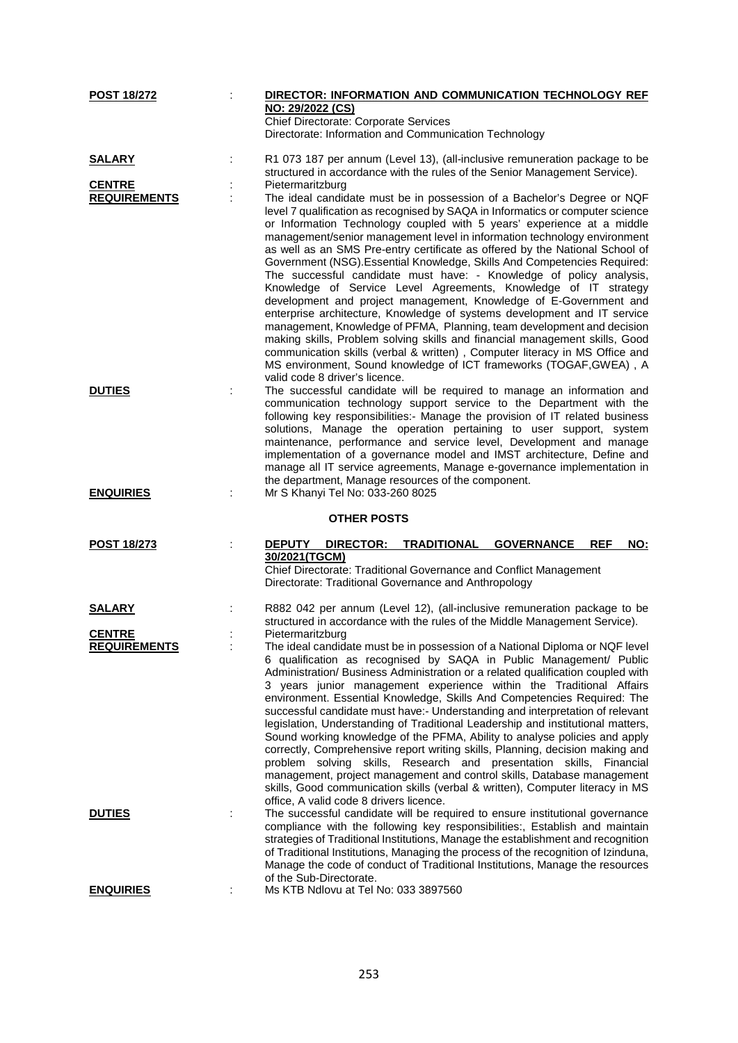| <b>POST 18/272</b>  | DIRECTOR: INFORMATION AND COMMUNICATION TECHNOLOGY REF                                                                                                                                                                                                                                                                                                                                                                                                                                                                                                                                                                                                                                                                                                                                                                                                                                                                                                                                                  |
|---------------------|---------------------------------------------------------------------------------------------------------------------------------------------------------------------------------------------------------------------------------------------------------------------------------------------------------------------------------------------------------------------------------------------------------------------------------------------------------------------------------------------------------------------------------------------------------------------------------------------------------------------------------------------------------------------------------------------------------------------------------------------------------------------------------------------------------------------------------------------------------------------------------------------------------------------------------------------------------------------------------------------------------|
|                     | NO: 29/2022 (CS)                                                                                                                                                                                                                                                                                                                                                                                                                                                                                                                                                                                                                                                                                                                                                                                                                                                                                                                                                                                        |
|                     | Chief Directorate: Corporate Services                                                                                                                                                                                                                                                                                                                                                                                                                                                                                                                                                                                                                                                                                                                                                                                                                                                                                                                                                                   |
|                     | Directorate: Information and Communication Technology                                                                                                                                                                                                                                                                                                                                                                                                                                                                                                                                                                                                                                                                                                                                                                                                                                                                                                                                                   |
| <b>SALARY</b>       | R1 073 187 per annum (Level 13), (all-inclusive remuneration package to be                                                                                                                                                                                                                                                                                                                                                                                                                                                                                                                                                                                                                                                                                                                                                                                                                                                                                                                              |
|                     | structured in accordance with the rules of the Senior Management Service).                                                                                                                                                                                                                                                                                                                                                                                                                                                                                                                                                                                                                                                                                                                                                                                                                                                                                                                              |
| <b>CENTRE</b>       | Pietermaritzburg                                                                                                                                                                                                                                                                                                                                                                                                                                                                                                                                                                                                                                                                                                                                                                                                                                                                                                                                                                                        |
| <b>REQUIREMENTS</b> | The ideal candidate must be in possession of a Bachelor's Degree or NQF<br>level 7 qualification as recognised by SAQA in Informatics or computer science<br>or Information Technology coupled with 5 years' experience at a middle<br>management/senior management level in information technology environment<br>as well as an SMS Pre-entry certificate as offered by the National School of<br>Government (NSG). Essential Knowledge, Skills And Competencies Required:<br>The successful candidate must have: - Knowledge of policy analysis,<br>Knowledge of Service Level Agreements, Knowledge of IT strategy                                                                                                                                                                                                                                                                                                                                                                                   |
|                     | development and project management, Knowledge of E-Government and<br>enterprise architecture, Knowledge of systems development and IT service<br>management, Knowledge of PFMA, Planning, team development and decision<br>making skills, Problem solving skills and financial management skills, Good<br>communication skills (verbal & written), Computer literacy in MS Office and<br>MS environment, Sound knowledge of ICT frameworks (TOGAF, GWEA), A<br>valid code 8 driver's licence.                                                                                                                                                                                                                                                                                                                                                                                                                                                                                                           |
| <b>DUTIES</b>       | The successful candidate will be required to manage an information and<br>communication technology support service to the Department with the<br>following key responsibilities:- Manage the provision of IT related business<br>solutions, Manage the operation pertaining to user support, system<br>maintenance, performance and service level, Development and manage<br>implementation of a governance model and IMST architecture, Define and<br>manage all IT service agreements, Manage e-governance implementation in<br>the department, Manage resources of the component.                                                                                                                                                                                                                                                                                                                                                                                                                    |
| <b>ENQUIRIES</b>    | Mr S Khanyi Tel No: 033-260 8025                                                                                                                                                                                                                                                                                                                                                                                                                                                                                                                                                                                                                                                                                                                                                                                                                                                                                                                                                                        |
|                     | <b>OTHER POSTS</b>                                                                                                                                                                                                                                                                                                                                                                                                                                                                                                                                                                                                                                                                                                                                                                                                                                                                                                                                                                                      |
| <b>POST 18/273</b>  | <b>DEPUTY</b><br>DIRECTOR:<br><b>TRADITIONAL</b><br><b>GOVERNANCE</b><br><b>REF</b><br><b>NO:</b><br>30/2021(TGCM)                                                                                                                                                                                                                                                                                                                                                                                                                                                                                                                                                                                                                                                                                                                                                                                                                                                                                      |
|                     | Chief Directorate: Traditional Governance and Conflict Management<br>Directorate: Traditional Governance and Anthropology                                                                                                                                                                                                                                                                                                                                                                                                                                                                                                                                                                                                                                                                                                                                                                                                                                                                               |
| <b>SALARY</b>       | R882 042 per annum (Level 12), (all-inclusive remuneration package to be<br>structured in accordance with the rules of the Middle Management Service).                                                                                                                                                                                                                                                                                                                                                                                                                                                                                                                                                                                                                                                                                                                                                                                                                                                  |
| <b>CENTRE</b>       | Pietermaritzburg                                                                                                                                                                                                                                                                                                                                                                                                                                                                                                                                                                                                                                                                                                                                                                                                                                                                                                                                                                                        |
| <u>REQUIREMENTS</u> | The ideal candidate must be in possession of a National Diploma or NQF level<br>6 qualification as recognised by SAQA in Public Management/ Public<br>Administration/ Business Administration or a related qualification coupled with<br>3 years junior management experience within the Traditional Affairs<br>environment. Essential Knowledge, Skills And Competencies Required: The<br>successful candidate must have:- Understanding and interpretation of relevant<br>legislation, Understanding of Traditional Leadership and institutional matters,<br>Sound working knowledge of the PFMA, Ability to analyse policies and apply<br>correctly, Comprehensive report writing skills, Planning, decision making and<br>problem solving skills, Research and presentation skills, Financial<br>management, project management and control skills, Database management<br>skills, Good communication skills (verbal & written), Computer literacy in MS<br>office, A valid code 8 drivers licence. |
| <b>DUTIES</b>       | The successful candidate will be required to ensure institutional governance<br>compliance with the following key responsibilities:, Establish and maintain<br>strategies of Traditional Institutions, Manage the establishment and recognition<br>of Traditional Institutions, Managing the process of the recognition of Izinduna,<br>Manage the code of conduct of Traditional Institutions, Manage the resources<br>of the Sub-Directorate.                                                                                                                                                                                                                                                                                                                                                                                                                                                                                                                                                         |
| <b>ENQUIRIES</b>    | Ms KTB Ndlovu at Tel No: 033 3897560                                                                                                                                                                                                                                                                                                                                                                                                                                                                                                                                                                                                                                                                                                                                                                                                                                                                                                                                                                    |
|                     |                                                                                                                                                                                                                                                                                                                                                                                                                                                                                                                                                                                                                                                                                                                                                                                                                                                                                                                                                                                                         |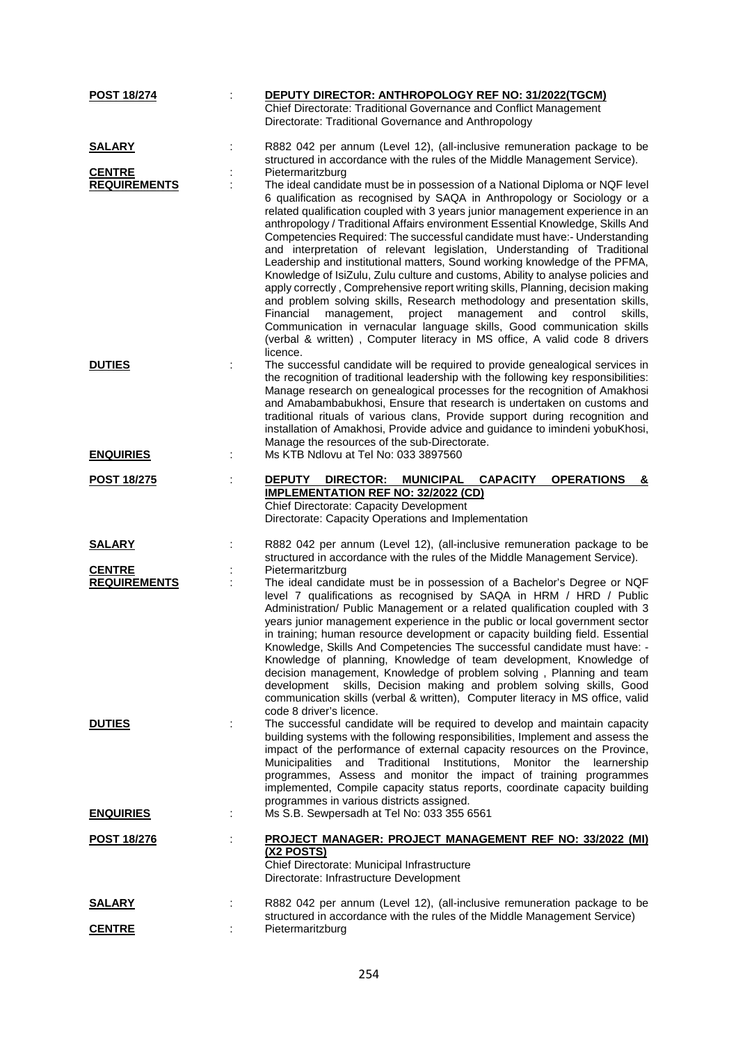| <b>POST 18/274</b>  | DEPUTY DIRECTOR: ANTHROPOLOGY REF NO: 31/2022(TGCM)                                                                                                          |
|---------------------|--------------------------------------------------------------------------------------------------------------------------------------------------------------|
|                     | Chief Directorate: Traditional Governance and Conflict Management                                                                                            |
|                     | Directorate: Traditional Governance and Anthropology                                                                                                         |
| <b>SALARY</b>       | R882 042 per annum (Level 12), (all-inclusive remuneration package to be                                                                                     |
|                     | structured in accordance with the rules of the Middle Management Service).                                                                                   |
| <b>CENTRE</b>       | Pietermaritzburg                                                                                                                                             |
| <b>REQUIREMENTS</b> | The ideal candidate must be in possession of a National Diploma or NQF level                                                                                 |
|                     | 6 qualification as recognised by SAQA in Anthropology or Sociology or a                                                                                      |
|                     | related qualification coupled with 3 years junior management experience in an                                                                                |
|                     | anthropology / Traditional Affairs environment Essential Knowledge, Skills And                                                                               |
|                     | Competencies Required: The successful candidate must have:- Understanding<br>and interpretation of relevant legislation, Understanding of Traditional        |
|                     | Leadership and institutional matters, Sound working knowledge of the PFMA,                                                                                   |
|                     | Knowledge of IsiZulu, Zulu culture and customs, Ability to analyse policies and                                                                              |
|                     | apply correctly, Comprehensive report writing skills, Planning, decision making                                                                              |
|                     | and problem solving skills, Research methodology and presentation skills,                                                                                    |
|                     | Financial<br>management,<br>project<br>management<br>and<br>control<br>skills.                                                                               |
|                     | Communication in vernacular language skills, Good communication skills<br>(verbal & written), Computer literacy in MS office, A valid code 8 drivers         |
|                     | licence.                                                                                                                                                     |
| <b>DUTIES</b>       | The successful candidate will be required to provide genealogical services in                                                                                |
|                     | the recognition of traditional leadership with the following key responsibilities:                                                                           |
|                     | Manage research on genealogical processes for the recognition of Amakhosi                                                                                    |
|                     | and Amabambabukhosi, Ensure that research is undertaken on customs and                                                                                       |
|                     | traditional rituals of various clans, Provide support during recognition and<br>installation of Amakhosi, Provide advice and guidance to imindeni yobuKhosi, |
|                     | Manage the resources of the sub-Directorate.                                                                                                                 |
| <b>ENQUIRIES</b>    | Ms KTB Ndlovu at Tel No: 033 3897560                                                                                                                         |
| <b>POST 18/275</b>  | <b>OPERATIONS</b><br><b>DEPUTY</b><br>DIRECTOR:<br><b>MUNICIPAL</b><br><b>CAPACITY</b><br>&                                                                  |
|                     | <b>IMPLEMENTATION REF NO: 32/2022 (CD)</b>                                                                                                                   |
|                     | Chief Directorate: Capacity Development                                                                                                                      |
|                     | Directorate: Capacity Operations and Implementation                                                                                                          |
| <b>SALARY</b>       | R882 042 per annum (Level 12), (all-inclusive remuneration package to be                                                                                     |
|                     | structured in accordance with the rules of the Middle Management Service).                                                                                   |
| <b>CENTRE</b>       | Pietermaritzburg                                                                                                                                             |
| <b>REQUIREMENTS</b> | The ideal candidate must be in possession of a Bachelor's Degree or NQF                                                                                      |
|                     | level 7 qualifications as recognised by SAQA in HRM / HRD / Public<br>Administration/ Public Management or a related qualification coupled with 3            |
|                     | years junior management experience in the public or local government sector                                                                                  |
|                     | in training; human resource development or capacity building field. Essential                                                                                |
|                     | Knowledge, Skills And Competencies The successful candidate must have: -                                                                                     |
|                     | Knowledge of planning, Knowledge of team development, Knowledge of                                                                                           |
|                     | decision management, Knowledge of problem solving, Planning and team<br>skills, Decision making and problem solving skills, Good<br>development              |
|                     | communication skills (verbal & written), Computer literacy in MS office, valid                                                                               |
|                     | code 8 driver's licence.                                                                                                                                     |
| <b>DUTIES</b>       | The successful candidate will be required to develop and maintain capacity                                                                                   |
|                     | building systems with the following responsibilities, Implement and assess the                                                                               |
|                     | impact of the performance of external capacity resources on the Province,<br>and Traditional Institutions, Monitor the<br>Municipalities<br>learnership      |
|                     | programmes, Assess and monitor the impact of training programmes                                                                                             |
|                     | implemented, Compile capacity status reports, coordinate capacity building                                                                                   |
|                     | programmes in various districts assigned.                                                                                                                    |
| <b>ENQUIRIES</b>    | Ms S.B. Sewpersadh at Tel No: 033 355 6561                                                                                                                   |
| <u>POST 18/276</u>  | PROJECT MANAGER: PROJECT MANAGEMENT REF NO: 33/2022 (MI)                                                                                                     |
|                     | (X2 POSTS)                                                                                                                                                   |
|                     | Chief Directorate: Municipal Infrastructure<br>Directorate: Infrastructure Development                                                                       |
|                     |                                                                                                                                                              |
| <u>SALARY</u>       | R882 042 per annum (Level 12), (all-inclusive remuneration package to be<br>structured in accordance with the rules of the Middle Management Service)        |
| <b>CENTRE</b>       | Pietermaritzburg                                                                                                                                             |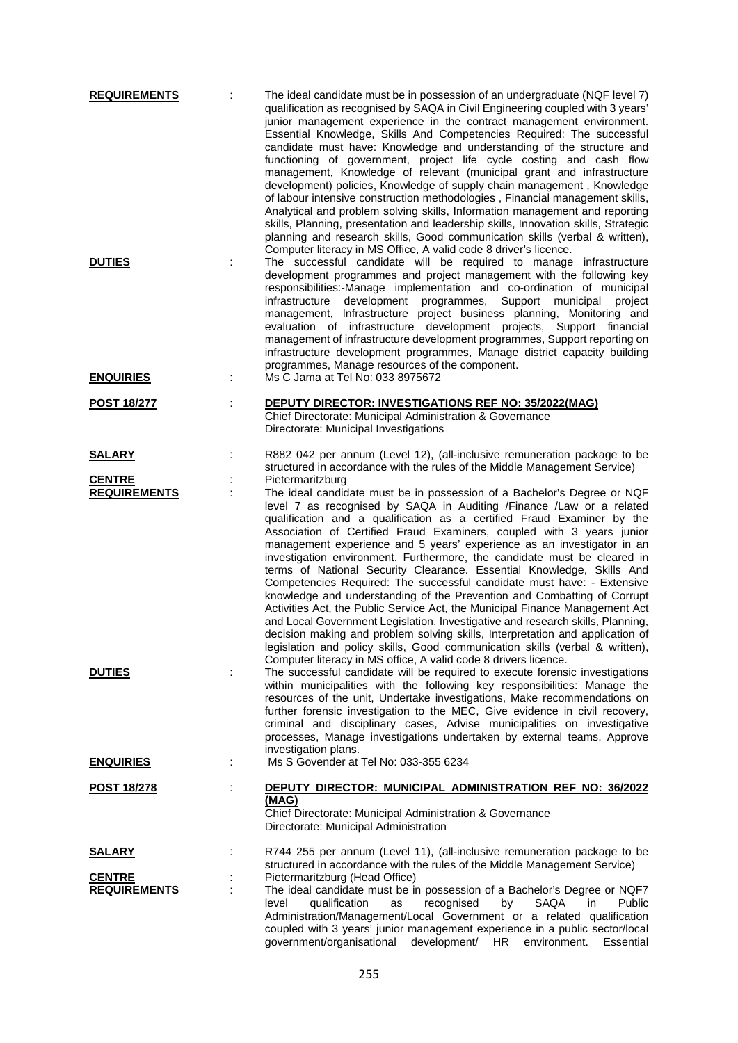| <b>REQUIREMENTS</b> |   | The ideal candidate must be in possession of an undergraduate (NQF level 7)<br>qualification as recognised by SAQA in Civil Engineering coupled with 3 years'<br>junior management experience in the contract management environment.<br>Essential Knowledge, Skills And Competencies Required: The successful<br>candidate must have: Knowledge and understanding of the structure and<br>functioning of government, project life cycle costing and cash flow<br>management, Knowledge of relevant (municipal grant and infrastructure<br>development) policies, Knowledge of supply chain management, Knowledge<br>of labour intensive construction methodologies, Financial management skills,<br>Analytical and problem solving skills, Information management and reporting<br>skills, Planning, presentation and leadership skills, Innovation skills, Strategic<br>planning and research skills, Good communication skills (verbal & written),                                                                                                                                        |
|---------------------|---|----------------------------------------------------------------------------------------------------------------------------------------------------------------------------------------------------------------------------------------------------------------------------------------------------------------------------------------------------------------------------------------------------------------------------------------------------------------------------------------------------------------------------------------------------------------------------------------------------------------------------------------------------------------------------------------------------------------------------------------------------------------------------------------------------------------------------------------------------------------------------------------------------------------------------------------------------------------------------------------------------------------------------------------------------------------------------------------------|
| <b>DUTIES</b>       | t | Computer literacy in MS Office, A valid code 8 driver's licence.<br>The successful candidate will be required to manage infrastructure<br>development programmes and project management with the following key<br>responsibilities:-Manage implementation and co-ordination of municipal<br>development programmes,<br>infrastructure<br>Support municipal<br>project<br>management, Infrastructure project business planning, Monitoring and<br>evaluation of infrastructure development projects, Support financial<br>management of infrastructure development programmes, Support reporting on<br>infrastructure development programmes, Manage district capacity building<br>programmes, Manage resources of the component.                                                                                                                                                                                                                                                                                                                                                             |
| <b>ENQUIRIES</b>    | t | Ms C Jama at Tel No: 033 8975672                                                                                                                                                                                                                                                                                                                                                                                                                                                                                                                                                                                                                                                                                                                                                                                                                                                                                                                                                                                                                                                             |
| <b>POST 18/277</b>  |   | <b>DEPUTY DIRECTOR: INVESTIGATIONS REF NO: 35/2022(MAG)</b><br>Chief Directorate: Municipal Administration & Governance<br>Directorate: Municipal Investigations                                                                                                                                                                                                                                                                                                                                                                                                                                                                                                                                                                                                                                                                                                                                                                                                                                                                                                                             |
| <u>SALARY</u>       |   | R882 042 per annum (Level 12), (all-inclusive remuneration package to be<br>structured in accordance with the rules of the Middle Management Service)                                                                                                                                                                                                                                                                                                                                                                                                                                                                                                                                                                                                                                                                                                                                                                                                                                                                                                                                        |
| <b>CENTRE</b>       |   | Pietermaritzburg                                                                                                                                                                                                                                                                                                                                                                                                                                                                                                                                                                                                                                                                                                                                                                                                                                                                                                                                                                                                                                                                             |
| <b>REQUIREMENTS</b> |   | The ideal candidate must be in possession of a Bachelor's Degree or NQF<br>level 7 as recognised by SAQA in Auditing /Finance /Law or a related<br>qualification and a qualification as a certified Fraud Examiner by the<br>Association of Certified Fraud Examiners, coupled with 3 years junior<br>management experience and 5 years' experience as an investigator in an<br>investigation environment. Furthermore, the candidate must be cleared in<br>terms of National Security Clearance. Essential Knowledge, Skills And<br>Competencies Required: The successful candidate must have: - Extensive<br>knowledge and understanding of the Prevention and Combatting of Corrupt<br>Activities Act, the Public Service Act, the Municipal Finance Management Act<br>and Local Government Legislation, Investigative and research skills, Planning,<br>decision making and problem solving skills, Interpretation and application of<br>legislation and policy skills, Good communication skills (verbal & written),<br>Computer literacy in MS office, A valid code 8 drivers licence. |
| <b>DUTIES</b>       |   | The successful candidate will be required to execute forensic investigations<br>within municipalities with the following key responsibilities: Manage the<br>resources of the unit, Undertake investigations, Make recommendations on<br>further forensic investigation to the MEC, Give evidence in civil recovery,<br>criminal and disciplinary cases, Advise municipalities on investigative<br>processes, Manage investigations undertaken by external teams, Approve<br>investigation plans.                                                                                                                                                                                                                                                                                                                                                                                                                                                                                                                                                                                            |
| <b>ENQUIRIES</b>    |   | Ms S Govender at Tel No: 033-355 6234                                                                                                                                                                                                                                                                                                                                                                                                                                                                                                                                                                                                                                                                                                                                                                                                                                                                                                                                                                                                                                                        |
| <u>POST 18/278</u>  |   | DEPUTY DIRECTOR: MUNICIPAL ADMINISTRATION REF NO: 36/2022<br>(MAG)<br>Chief Directorate: Municipal Administration & Governance<br>Directorate: Municipal Administration                                                                                                                                                                                                                                                                                                                                                                                                                                                                                                                                                                                                                                                                                                                                                                                                                                                                                                                      |
| <b>SALARY</b>       |   | R744 255 per annum (Level 11), (all-inclusive remuneration package to be                                                                                                                                                                                                                                                                                                                                                                                                                                                                                                                                                                                                                                                                                                                                                                                                                                                                                                                                                                                                                     |
| <b>CENTRE</b>       |   | structured in accordance with the rules of the Middle Management Service)<br>Pietermaritzburg (Head Office)                                                                                                                                                                                                                                                                                                                                                                                                                                                                                                                                                                                                                                                                                                                                                                                                                                                                                                                                                                                  |
| <b>REQUIREMENTS</b> |   | The ideal candidate must be in possession of a Bachelor's Degree or NQF7<br><b>SAQA</b><br>level<br>qualification<br>recognised<br>Public<br>as<br>by<br>in.<br>Administration/Management/Local Government or a related qualification<br>coupled with 3 years' junior management experience in a public sector/local<br>government/organisational development/ HR<br>environment.<br>Essential                                                                                                                                                                                                                                                                                                                                                                                                                                                                                                                                                                                                                                                                                               |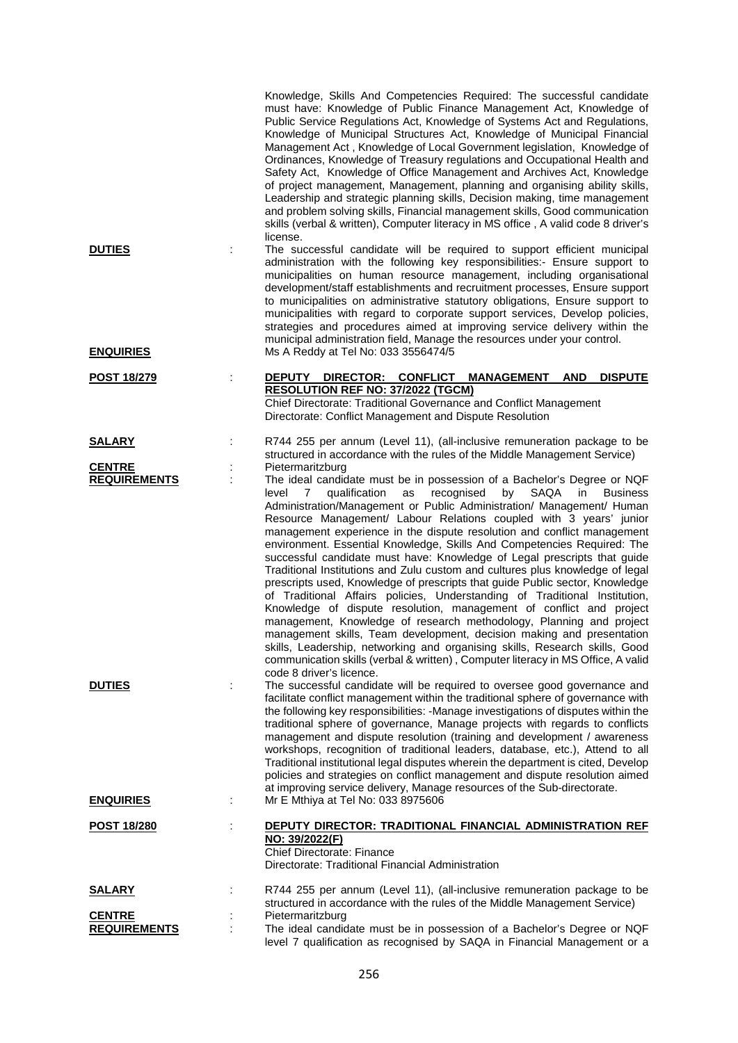|                                                       |   | Knowledge, Skills And Competencies Required: The successful candidate<br>must have: Knowledge of Public Finance Management Act, Knowledge of<br>Public Service Regulations Act, Knowledge of Systems Act and Regulations,<br>Knowledge of Municipal Structures Act, Knowledge of Municipal Financial<br>Management Act, Knowledge of Local Government legislation, Knowledge of<br>Ordinances, Knowledge of Treasury regulations and Occupational Health and<br>Safety Act, Knowledge of Office Management and Archives Act, Knowledge<br>of project management, Management, planning and organising ability skills,<br>Leadership and strategic planning skills, Decision making, time management<br>and problem solving skills, Financial management skills, Good communication<br>skills (verbal & written), Computer literacy in MS office, A valid code 8 driver's<br>license.                                                                                                                                                                                                                                                                                                                                                                                                                                                                                                                  |
|-------------------------------------------------------|---|------------------------------------------------------------------------------------------------------------------------------------------------------------------------------------------------------------------------------------------------------------------------------------------------------------------------------------------------------------------------------------------------------------------------------------------------------------------------------------------------------------------------------------------------------------------------------------------------------------------------------------------------------------------------------------------------------------------------------------------------------------------------------------------------------------------------------------------------------------------------------------------------------------------------------------------------------------------------------------------------------------------------------------------------------------------------------------------------------------------------------------------------------------------------------------------------------------------------------------------------------------------------------------------------------------------------------------------------------------------------------------------------------|
| <b>DUTIES</b>                                         |   | The successful candidate will be required to support efficient municipal<br>administration with the following key responsibilities:- Ensure support to<br>municipalities on human resource management, including organisational<br>development/staff establishments and recruitment processes, Ensure support<br>to municipalities on administrative statutory obligations, Ensure support to<br>municipalities with regard to corporate support services, Develop policies,<br>strategies and procedures aimed at improving service delivery within the<br>municipal administration field, Manage the resources under your control.                                                                                                                                                                                                                                                                                                                                                                                                                                                                                                                                                                                                                                                                                                                                                                 |
| <b>ENQUIRIES</b>                                      |   | Ms A Reddy at Tel No: 033 3556474/5                                                                                                                                                                                                                                                                                                                                                                                                                                                                                                                                                                                                                                                                                                                                                                                                                                                                                                                                                                                                                                                                                                                                                                                                                                                                                                                                                                  |
| <b>POST 18/279</b>                                    |   | <b>DISPUTE</b><br><b>DEPUTY</b><br>DIRECTOR: CONFLICT<br><b>MANAGEMENT AND</b><br>RESOLUTION REF NO: 37/2022 (TGCM)<br>Chief Directorate: Traditional Governance and Conflict Management<br>Directorate: Conflict Management and Dispute Resolution                                                                                                                                                                                                                                                                                                                                                                                                                                                                                                                                                                                                                                                                                                                                                                                                                                                                                                                                                                                                                                                                                                                                                  |
| <b>SALARY</b>                                         |   | R744 255 per annum (Level 11), (all-inclusive remuneration package to be                                                                                                                                                                                                                                                                                                                                                                                                                                                                                                                                                                                                                                                                                                                                                                                                                                                                                                                                                                                                                                                                                                                                                                                                                                                                                                                             |
| <b>CENTRE</b><br><b>REQUIREMENTS</b><br><b>DUTIES</b> | ÷ | structured in accordance with the rules of the Middle Management Service)<br>Pietermaritzburg<br>The ideal candidate must be in possession of a Bachelor's Degree or NQF<br>qualification<br>recognised<br>SAQA<br><b>Business</b><br>level<br>as<br>by<br>in<br>7<br>Administration/Management or Public Administration/ Management/ Human<br>Resource Management/ Labour Relations coupled with 3 years' junior<br>management experience in the dispute resolution and conflict management<br>environment. Essential Knowledge, Skills And Competencies Required: The<br>successful candidate must have: Knowledge of Legal prescripts that guide<br>Traditional Institutions and Zulu custom and cultures plus knowledge of legal<br>prescripts used, Knowledge of prescripts that guide Public sector, Knowledge<br>of Traditional Affairs policies, Understanding of Traditional Institution,<br>Knowledge of dispute resolution, management of conflict and project<br>management, Knowledge of research methodology, Planning and project<br>management skills, Team development, decision making and presentation<br>skills, Leadership, networking and organising skills, Research skills, Good<br>communication skills (verbal & written), Computer literacy in MS Office, A valid<br>code 8 driver's licence.<br>The successful candidate will be required to oversee good governance and |
|                                                       |   | facilitate conflict management within the traditional sphere of governance with<br>the following key responsibilities: - Manage investigations of disputes within the<br>traditional sphere of governance, Manage projects with regards to conflicts<br>management and dispute resolution (training and development / awareness<br>workshops, recognition of traditional leaders, database, etc.), Attend to all<br>Traditional institutional legal disputes wherein the department is cited, Develop<br>policies and strategies on conflict management and dispute resolution aimed<br>at improving service delivery, Manage resources of the Sub-directorate.                                                                                                                                                                                                                                                                                                                                                                                                                                                                                                                                                                                                                                                                                                                                      |
| <b>ENQUIRIES</b>                                      |   | Mr E Mthiya at Tel No: 033 8975606                                                                                                                                                                                                                                                                                                                                                                                                                                                                                                                                                                                                                                                                                                                                                                                                                                                                                                                                                                                                                                                                                                                                                                                                                                                                                                                                                                   |
| <u>POST 18/280</u>                                    |   | <b>DEPUTY DIRECTOR: TRADITIONAL FINANCIAL ADMINISTRATION REF</b><br>NO: 39/2022(F)<br><b>Chief Directorate: Finance</b><br>Directorate: Traditional Financial Administration                                                                                                                                                                                                                                                                                                                                                                                                                                                                                                                                                                                                                                                                                                                                                                                                                                                                                                                                                                                                                                                                                                                                                                                                                         |
| <b>SALARY</b>                                         |   | R744 255 per annum (Level 11), (all-inclusive remuneration package to be                                                                                                                                                                                                                                                                                                                                                                                                                                                                                                                                                                                                                                                                                                                                                                                                                                                                                                                                                                                                                                                                                                                                                                                                                                                                                                                             |
| <b>CENTRE</b><br><b>REQUIREMENTS</b>                  |   | structured in accordance with the rules of the Middle Management Service)<br>Pietermaritzburg<br>The ideal candidate must be in possession of a Bachelor's Degree or NQF<br>level 7 qualification as recognised by SAQA in Financial Management or a                                                                                                                                                                                                                                                                                                                                                                                                                                                                                                                                                                                                                                                                                                                                                                                                                                                                                                                                                                                                                                                                                                                                                 |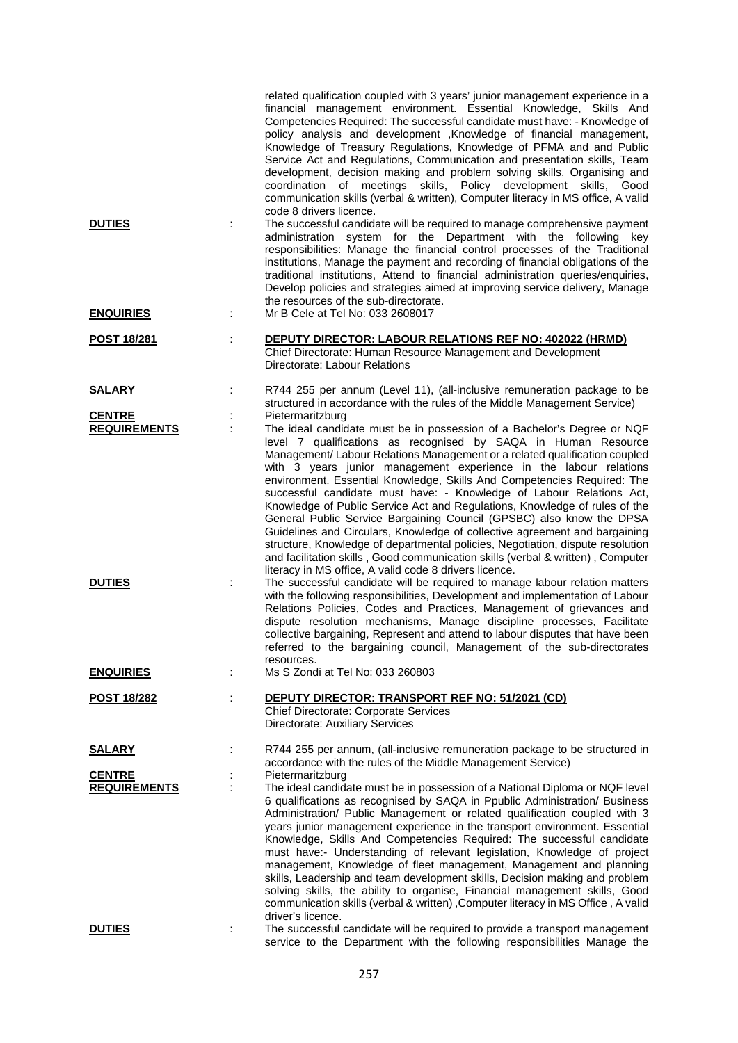|                                      | related qualification coupled with 3 years' junior management experience in a<br>financial management environment. Essential Knowledge, Skills And<br>Competencies Required: The successful candidate must have: - Knowledge of<br>policy analysis and development , Knowledge of financial management,<br>Knowledge of Treasury Regulations, Knowledge of PFMA and and Public<br>Service Act and Regulations, Communication and presentation skills, Team<br>development, decision making and problem solving skills, Organising and<br>coordination of meetings skills, Policy development skills, Good<br>communication skills (verbal & written), Computer literacy in MS office, A valid<br>code 8 drivers licence.                                                                                                                                                                                                               |
|--------------------------------------|----------------------------------------------------------------------------------------------------------------------------------------------------------------------------------------------------------------------------------------------------------------------------------------------------------------------------------------------------------------------------------------------------------------------------------------------------------------------------------------------------------------------------------------------------------------------------------------------------------------------------------------------------------------------------------------------------------------------------------------------------------------------------------------------------------------------------------------------------------------------------------------------------------------------------------------|
| <b>DUTIES</b><br><b>ENQUIRIES</b>    | The successful candidate will be required to manage comprehensive payment<br>administration system for the Department with the following key<br>responsibilities: Manage the financial control processes of the Traditional<br>institutions, Manage the payment and recording of financial obligations of the<br>traditional institutions, Attend to financial administration queries/enquiries,<br>Develop policies and strategies aimed at improving service delivery, Manage<br>the resources of the sub-directorate.<br>Mr B Cele at Tel No: 033 2608017                                                                                                                                                                                                                                                                                                                                                                           |
|                                      |                                                                                                                                                                                                                                                                                                                                                                                                                                                                                                                                                                                                                                                                                                                                                                                                                                                                                                                                        |
| <b>POST 18/281</b>                   | DEPUTY DIRECTOR: LABOUR RELATIONS REF NO: 402022 (HRMD)<br>Chief Directorate: Human Resource Management and Development<br>Directorate: Labour Relations                                                                                                                                                                                                                                                                                                                                                                                                                                                                                                                                                                                                                                                                                                                                                                               |
| <b>SALARY</b>                        | R744 255 per annum (Level 11), (all-inclusive remuneration package to be<br>structured in accordance with the rules of the Middle Management Service)                                                                                                                                                                                                                                                                                                                                                                                                                                                                                                                                                                                                                                                                                                                                                                                  |
| <b>CENTRE</b><br><b>REQUIREMENTS</b> | Pietermaritzburg<br>The ideal candidate must be in possession of a Bachelor's Degree or NQF<br>level 7 qualifications as recognised by SAQA in Human Resource<br>Management/ Labour Relations Management or a related qualification coupled<br>with 3 years junior management experience in the labour relations<br>environment. Essential Knowledge, Skills And Competencies Required: The<br>successful candidate must have: - Knowledge of Labour Relations Act,<br>Knowledge of Public Service Act and Regulations, Knowledge of rules of the<br>General Public Service Bargaining Council (GPSBC) also know the DPSA<br>Guidelines and Circulars, Knowledge of collective agreement and bargaining<br>structure, Knowledge of departmental policies, Negotiation, dispute resolution<br>and facilitation skills, Good communication skills (verbal & written), Computer<br>literacy in MS office, A valid code 8 drivers licence. |
| <b>DUTIES</b>                        | The successful candidate will be required to manage labour relation matters<br>with the following responsibilities, Development and implementation of Labour<br>Relations Policies, Codes and Practices, Management of grievances and<br>dispute resolution mechanisms, Manage discipline processes, Facilitate<br>collective bargaining, Represent and attend to labour disputes that have been<br>referred to the bargaining council, Management of the sub-directorates<br>resources.                                                                                                                                                                                                                                                                                                                                                                                                                                               |
| <b>ENQUIRIES</b>                     | Ms S Zondi at Tel No: 033 260803                                                                                                                                                                                                                                                                                                                                                                                                                                                                                                                                                                                                                                                                                                                                                                                                                                                                                                       |
| <b>POST 18/282</b>                   | DEPUTY DIRECTOR: TRANSPORT REF NO: 51/2021 (CD)<br><b>Chief Directorate: Corporate Services</b><br>Directorate: Auxiliary Services                                                                                                                                                                                                                                                                                                                                                                                                                                                                                                                                                                                                                                                                                                                                                                                                     |
| <b>SALARY</b>                        | R744 255 per annum, (all-inclusive remuneration package to be structured in<br>accordance with the rules of the Middle Management Service)                                                                                                                                                                                                                                                                                                                                                                                                                                                                                                                                                                                                                                                                                                                                                                                             |
| <b>CENTRE</b><br><b>REQUIREMENTS</b> | Pietermaritzburg<br>The ideal candidate must be in possession of a National Diploma or NQF level<br>6 qualifications as recognised by SAQA in Ppublic Administration/ Business<br>Administration/ Public Management or related qualification coupled with 3<br>years junior management experience in the transport environment. Essential<br>Knowledge, Skills And Competencies Required: The successful candidate<br>must have:- Understanding of relevant legislation, Knowledge of project<br>management, Knowledge of fleet management, Management and planning<br>skills, Leadership and team development skills, Decision making and problem<br>solving skills, the ability to organise, Financial management skills, Good<br>communication skills (verbal & written), Computer literacy in MS Office, A valid<br>driver's licence.                                                                                              |
| <b>DUTIES</b>                        | The successful candidate will be required to provide a transport management<br>service to the Department with the following responsibilities Manage the                                                                                                                                                                                                                                                                                                                                                                                                                                                                                                                                                                                                                                                                                                                                                                                |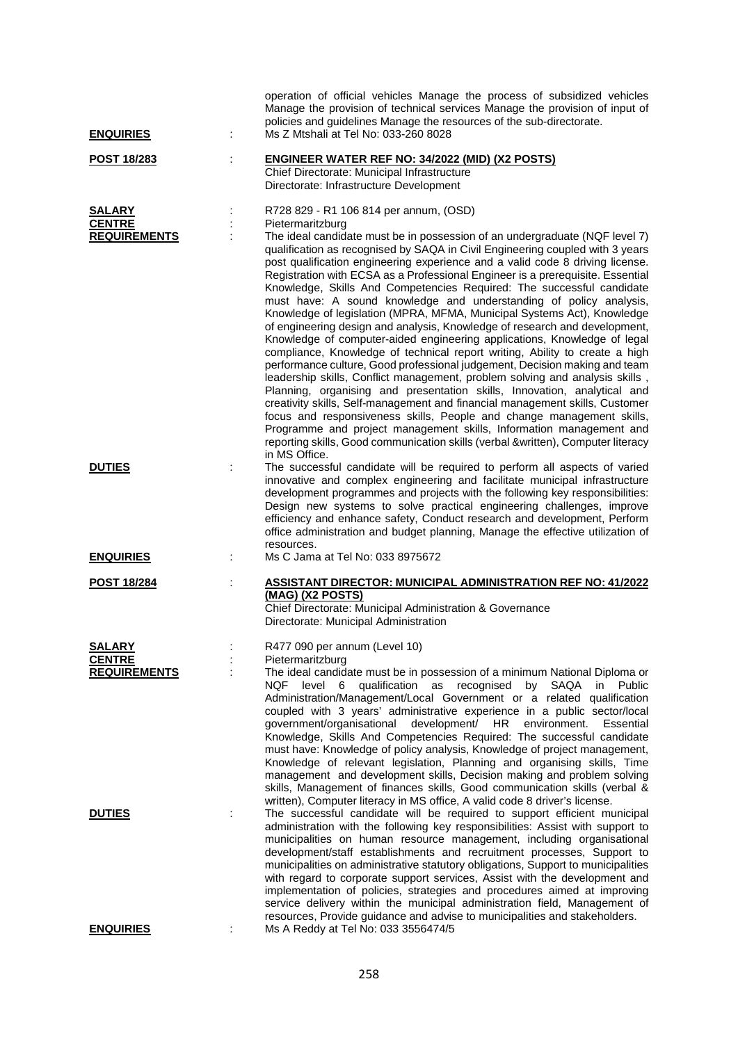| <b>ENQUIRIES</b>                               |   | operation of official vehicles Manage the process of subsidized vehicles<br>Manage the provision of technical services Manage the provision of input of<br>policies and guidelines Manage the resources of the sub-directorate.<br>Ms Z Mtshali at Tel No: 033-260 8028                                                                                                                                                                                                                                                                                                                                                                                                                                                                                                                                                                                                                                                                                                                                                                                                                                                                                                                                                                                                                                                                                                                                                                         |
|------------------------------------------------|---|-------------------------------------------------------------------------------------------------------------------------------------------------------------------------------------------------------------------------------------------------------------------------------------------------------------------------------------------------------------------------------------------------------------------------------------------------------------------------------------------------------------------------------------------------------------------------------------------------------------------------------------------------------------------------------------------------------------------------------------------------------------------------------------------------------------------------------------------------------------------------------------------------------------------------------------------------------------------------------------------------------------------------------------------------------------------------------------------------------------------------------------------------------------------------------------------------------------------------------------------------------------------------------------------------------------------------------------------------------------------------------------------------------------------------------------------------|
| POST 18/283                                    | ÷ | <b>ENGINEER WATER REF NO: 34/2022 (MID) (X2 POSTS)</b><br>Chief Directorate: Municipal Infrastructure<br>Directorate: Infrastructure Development                                                                                                                                                                                                                                                                                                                                                                                                                                                                                                                                                                                                                                                                                                                                                                                                                                                                                                                                                                                                                                                                                                                                                                                                                                                                                                |
| SALARY<br><b>CENTRE</b><br><b>REQUIREMENTS</b> |   | R728 829 - R1 106 814 per annum, (OSD)<br>Pietermaritzburg<br>The ideal candidate must be in possession of an undergraduate (NQF level 7)<br>qualification as recognised by SAQA in Civil Engineering coupled with 3 years<br>post qualification engineering experience and a valid code 8 driving license.<br>Registration with ECSA as a Professional Engineer is a prerequisite. Essential<br>Knowledge, Skills And Competencies Required: The successful candidate<br>must have: A sound knowledge and understanding of policy analysis,<br>Knowledge of legislation (MPRA, MFMA, Municipal Systems Act), Knowledge<br>of engineering design and analysis, Knowledge of research and development,<br>Knowledge of computer-aided engineering applications, Knowledge of legal<br>compliance, Knowledge of technical report writing, Ability to create a high<br>performance culture, Good professional judgement, Decision making and team<br>leadership skills, Conflict management, problem solving and analysis skills,<br>Planning, organising and presentation skills, Innovation, analytical and<br>creativity skills, Self-management and financial management skills, Customer<br>focus and responsiveness skills, People and change management skills,<br>Programme and project management skills, Information management and<br>reporting skills, Good communication skills (verbal &written), Computer literacy<br>in MS Office. |
| <b>DUTIES</b>                                  |   | The successful candidate will be required to perform all aspects of varied<br>innovative and complex engineering and facilitate municipal infrastructure<br>development programmes and projects with the following key responsibilities:<br>Design new systems to solve practical engineering challenges, improve<br>efficiency and enhance safety, Conduct research and development, Perform<br>office administration and budget planning, Manage the effective utilization of                                                                                                                                                                                                                                                                                                                                                                                                                                                                                                                                                                                                                                                                                                                                                                                                                                                                                                                                                                 |
| <b>ENQUIRIES</b>                               |   | resources.<br>Ms C Jama at Tel No: 033 8975672                                                                                                                                                                                                                                                                                                                                                                                                                                                                                                                                                                                                                                                                                                                                                                                                                                                                                                                                                                                                                                                                                                                                                                                                                                                                                                                                                                                                  |
| <b>POST 18/284</b>                             |   | <b>ASSISTANT DIRECTOR: MUNICIPAL ADMINISTRATION REF NO: 41/2022</b><br>(MAG) (X2 POSTS)<br>Chief Directorate: Municipal Administration & Governance<br>Directorate: Municipal Administration                                                                                                                                                                                                                                                                                                                                                                                                                                                                                                                                                                                                                                                                                                                                                                                                                                                                                                                                                                                                                                                                                                                                                                                                                                                    |
| <b>SALARY</b>                                  |   | R477 090 per annum (Level 10)                                                                                                                                                                                                                                                                                                                                                                                                                                                                                                                                                                                                                                                                                                                                                                                                                                                                                                                                                                                                                                                                                                                                                                                                                                                                                                                                                                                                                   |
| <b>CENTRE</b><br><b>REQUIREMENTS</b>           |   | Pietermaritzburg<br>The ideal candidate must be in possession of a minimum National Diploma or<br>level 6 qualification as recognised<br>by SAQA<br>NQF<br>in Public<br>Administration/Management/Local Government or a related qualification<br>coupled with 3 years' administrative experience in a public sector/local<br>development/ HR<br>government/organisational<br>environment.<br>Essential<br>Knowledge, Skills And Competencies Required: The successful candidate<br>must have: Knowledge of policy analysis, Knowledge of project management,<br>Knowledge of relevant legislation, Planning and organising skills, Time<br>management and development skills, Decision making and problem solving<br>skills, Management of finances skills, Good communication skills (verbal &<br>written), Computer literacy in MS office, A valid code 8 driver's license.                                                                                                                                                                                                                                                                                                                                                                                                                                                                                                                                                                   |
| <b>DUTIES</b>                                  | ÷ | The successful candidate will be required to support efficient municipal<br>administration with the following key responsibilities: Assist with support to<br>municipalities on human resource management, including organisational<br>development/staff establishments and recruitment processes, Support to<br>municipalities on administrative statutory obligations, Support to municipalities<br>with regard to corporate support services, Assist with the development and<br>implementation of policies, strategies and procedures aimed at improving<br>service delivery within the municipal administration field, Management of<br>resources, Provide guidance and advise to municipalities and stakeholders.                                                                                                                                                                                                                                                                                                                                                                                                                                                                                                                                                                                                                                                                                                                         |
| <b>ENQUIRIES</b>                               |   | Ms A Reddy at Tel No: 033 3556474/5                                                                                                                                                                                                                                                                                                                                                                                                                                                                                                                                                                                                                                                                                                                                                                                                                                                                                                                                                                                                                                                                                                                                                                                                                                                                                                                                                                                                             |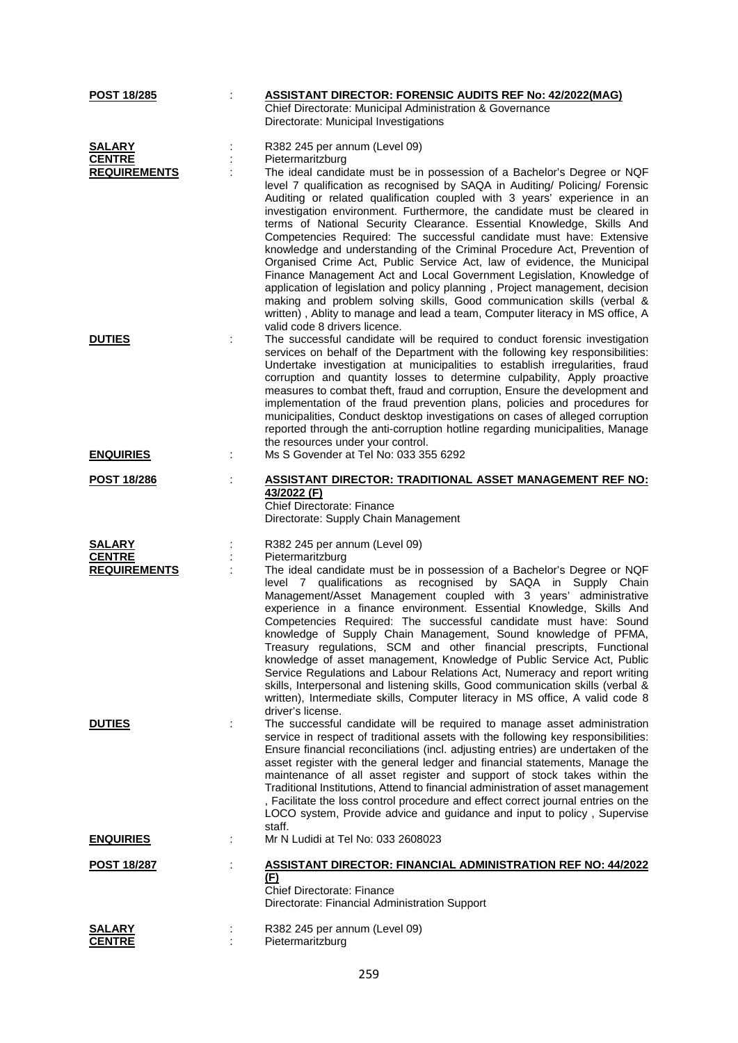| POST 18/285             | <b>ASSISTANT DIRECTOR: FORENSIC AUDITS REF No: 42/2022(MAG)</b>                                                                                                                                                                                                                                                                                                                                                                                                                                                                                                                                                                                                                                                                                                                                                                                                                                                                                                             |
|-------------------------|-----------------------------------------------------------------------------------------------------------------------------------------------------------------------------------------------------------------------------------------------------------------------------------------------------------------------------------------------------------------------------------------------------------------------------------------------------------------------------------------------------------------------------------------------------------------------------------------------------------------------------------------------------------------------------------------------------------------------------------------------------------------------------------------------------------------------------------------------------------------------------------------------------------------------------------------------------------------------------|
|                         | Chief Directorate: Municipal Administration & Governance<br>Directorate: Municipal Investigations                                                                                                                                                                                                                                                                                                                                                                                                                                                                                                                                                                                                                                                                                                                                                                                                                                                                           |
|                         |                                                                                                                                                                                                                                                                                                                                                                                                                                                                                                                                                                                                                                                                                                                                                                                                                                                                                                                                                                             |
| <b>SALARY</b>           | R382 245 per annum (Level 09)                                                                                                                                                                                                                                                                                                                                                                                                                                                                                                                                                                                                                                                                                                                                                                                                                                                                                                                                               |
| <b>CENTRE</b>           | Pietermaritzburg                                                                                                                                                                                                                                                                                                                                                                                                                                                                                                                                                                                                                                                                                                                                                                                                                                                                                                                                                            |
| <b>REQUIREMENTS</b>     | The ideal candidate must be in possession of a Bachelor's Degree or NQF<br>level 7 qualification as recognised by SAQA in Auditing/ Policing/ Forensic<br>Auditing or related qualification coupled with 3 years' experience in an<br>investigation environment. Furthermore, the candidate must be cleared in<br>terms of National Security Clearance. Essential Knowledge, Skills And<br>Competencies Required: The successful candidate must have: Extensive<br>knowledge and understanding of the Criminal Procedure Act, Prevention of<br>Organised Crime Act, Public Service Act, law of evidence, the Municipal<br>Finance Management Act and Local Government Legislation, Knowledge of<br>application of legislation and policy planning, Project management, decision<br>making and problem solving skills, Good communication skills (verbal &<br>written), Ablity to manage and lead a team, Computer literacy in MS office, A<br>valid code 8 drivers licence. |
| <b>DUTIES</b>           | The successful candidate will be required to conduct forensic investigation                                                                                                                                                                                                                                                                                                                                                                                                                                                                                                                                                                                                                                                                                                                                                                                                                                                                                                 |
|                         | services on behalf of the Department with the following key responsibilities:<br>Undertake investigation at municipalities to establish irregularities, fraud<br>corruption and quantity losses to determine culpability, Apply proactive<br>measures to combat theft, fraud and corruption, Ensure the development and<br>implementation of the fraud prevention plans, policies and procedures for<br>municipalities, Conduct desktop investigations on cases of alleged corruption<br>reported through the anti-corruption hotline regarding municipalities, Manage<br>the resources under your control.                                                                                                                                                                                                                                                                                                                                                                 |
| <b>ENQUIRIES</b>        | Ms S Govender at Tel No: 033 355 6292                                                                                                                                                                                                                                                                                                                                                                                                                                                                                                                                                                                                                                                                                                                                                                                                                                                                                                                                       |
| <b>POST 18/286</b>      | <u> ASSISTANT DIRECTOR: TRADITIONAL ASSET MANAGEMENT REF NO:</u>                                                                                                                                                                                                                                                                                                                                                                                                                                                                                                                                                                                                                                                                                                                                                                                                                                                                                                            |
|                         | 43/2022 (F)<br><b>Chief Directorate: Finance</b><br>Directorate: Supply Chain Management                                                                                                                                                                                                                                                                                                                                                                                                                                                                                                                                                                                                                                                                                                                                                                                                                                                                                    |
| <b>SALARY</b>           | R382 245 per annum (Level 09)                                                                                                                                                                                                                                                                                                                                                                                                                                                                                                                                                                                                                                                                                                                                                                                                                                                                                                                                               |
| <b>CENTRE</b>           | Pietermaritzburg                                                                                                                                                                                                                                                                                                                                                                                                                                                                                                                                                                                                                                                                                                                                                                                                                                                                                                                                                            |
| <b>REQUIREMENTS</b>     | The ideal candidate must be in possession of a Bachelor's Degree or NQF<br>level 7 qualifications as recognised by SAQA in Supply Chain<br>Management/Asset Management coupled with 3 years' administrative<br>experience in a finance environment. Essential Knowledge, Skills And<br>Competencies Required: The successful candidate must have: Sound<br>knowledge of Supply Chain Management, Sound knowledge of PFMA,<br>Treasury regulations, SCM and other financial prescripts, Functional<br>knowledge of asset management, Knowledge of Public Service Act, Public<br>Service Regulations and Labour Relations Act, Numeracy and report writing<br>skills, Interpersonal and listening skills, Good communication skills (verbal &<br>written), Intermediate skills, Computer literacy in MS office, A valid code 8<br>driver's license.                                                                                                                           |
| <b>DUTIES</b>           | The successful candidate will be required to manage asset administration<br>service in respect of traditional assets with the following key responsibilities:<br>Ensure financial reconciliations (incl. adjusting entries) are undertaken of the<br>asset register with the general ledger and financial statements, Manage the<br>maintenance of all asset register and support of stock takes within the<br>Traditional Institutions, Attend to financial administration of asset management<br>, Facilitate the loss control procedure and effect correct journal entries on the<br>LOCO system, Provide advice and guidance and input to policy, Supervise<br>staff.                                                                                                                                                                                                                                                                                                   |
| <b>ENQUIRIES</b>        | Mr N Ludidi at Tel No: 033 2608023                                                                                                                                                                                                                                                                                                                                                                                                                                                                                                                                                                                                                                                                                                                                                                                                                                                                                                                                          |
| <b>POST 18/287</b>      | <b>ASSISTANT DIRECTOR: FINANCIAL ADMINISTRATION REF NO: 44/2022</b><br>(F)<br><b>Chief Directorate: Finance</b><br>Directorate: Financial Administration Support                                                                                                                                                                                                                                                                                                                                                                                                                                                                                                                                                                                                                                                                                                                                                                                                            |
|                         |                                                                                                                                                                                                                                                                                                                                                                                                                                                                                                                                                                                                                                                                                                                                                                                                                                                                                                                                                                             |
| SALARY<br><b>CENTRE</b> | R382 245 per annum (Level 09)<br>Pietermaritzburg                                                                                                                                                                                                                                                                                                                                                                                                                                                                                                                                                                                                                                                                                                                                                                                                                                                                                                                           |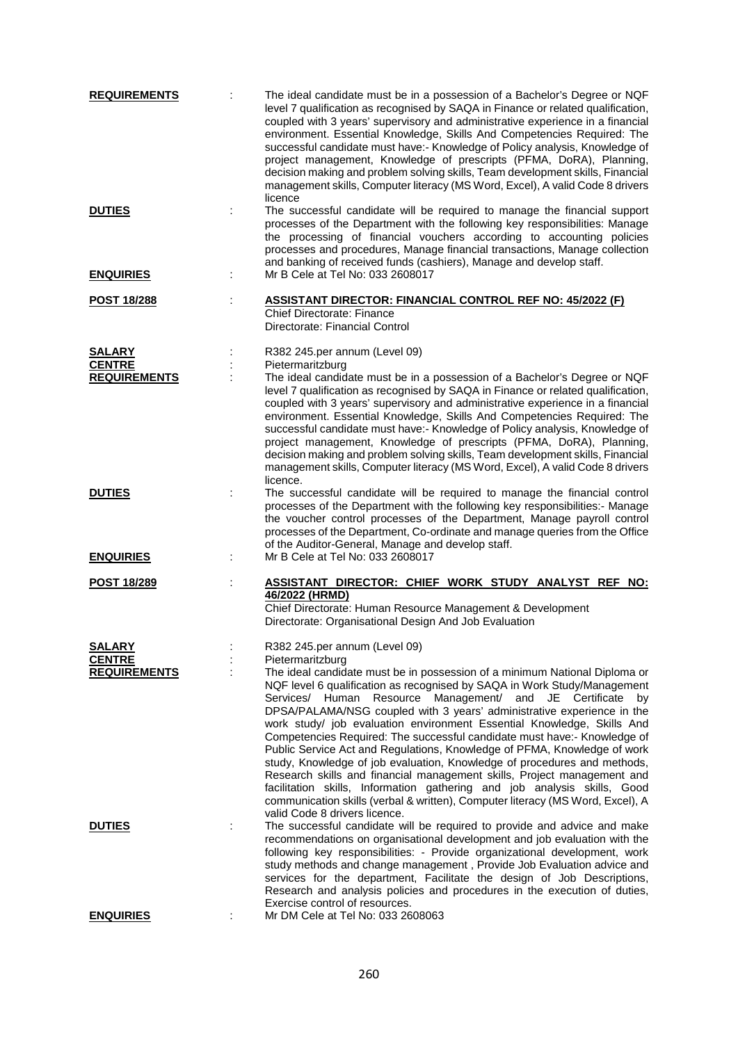| <b>REQUIREMENTS</b>                  | The ideal candidate must be in a possession of a Bachelor's Degree or NQF<br>level 7 qualification as recognised by SAQA in Finance or related qualification,<br>coupled with 3 years' supervisory and administrative experience in a financial<br>environment. Essential Knowledge, Skills And Competencies Required: The<br>successful candidate must have:- Knowledge of Policy analysis, Knowledge of<br>project management, Knowledge of prescripts (PFMA, DoRA), Planning,<br>decision making and problem solving skills, Team development skills, Financial<br>management skills, Computer literacy (MS Word, Excel), A valid Code 8 drivers<br>licence                                                                                                                                                                                                                                                |
|--------------------------------------|---------------------------------------------------------------------------------------------------------------------------------------------------------------------------------------------------------------------------------------------------------------------------------------------------------------------------------------------------------------------------------------------------------------------------------------------------------------------------------------------------------------------------------------------------------------------------------------------------------------------------------------------------------------------------------------------------------------------------------------------------------------------------------------------------------------------------------------------------------------------------------------------------------------|
| <b>DUTIES</b>                        | The successful candidate will be required to manage the financial support<br>processes of the Department with the following key responsibilities: Manage<br>the processing of financial vouchers according to accounting policies<br>processes and procedures, Manage financial transactions, Manage collection<br>and banking of received funds (cashiers), Manage and develop staff.                                                                                                                                                                                                                                                                                                                                                                                                                                                                                                                        |
| <b>ENQUIRIES</b>                     | Mr B Cele at Tel No: 033 2608017                                                                                                                                                                                                                                                                                                                                                                                                                                                                                                                                                                                                                                                                                                                                                                                                                                                                              |
| <b>POST 18/288</b>                   | <b>ASSISTANT DIRECTOR: FINANCIAL CONTROL REF NO: 45/2022 (F)</b><br><b>Chief Directorate: Finance</b><br>Directorate: Financial Control                                                                                                                                                                                                                                                                                                                                                                                                                                                                                                                                                                                                                                                                                                                                                                       |
| <b>SALARY</b>                        | R382 245.per annum (Level 09)                                                                                                                                                                                                                                                                                                                                                                                                                                                                                                                                                                                                                                                                                                                                                                                                                                                                                 |
| <b>CENTRE</b><br><b>REQUIREMENTS</b> | Pietermaritzburg<br>The ideal candidate must be in a possession of a Bachelor's Degree or NQF<br>level 7 qualification as recognised by SAQA in Finance or related qualification,<br>coupled with 3 years' supervisory and administrative experience in a financial<br>environment. Essential Knowledge, Skills And Competencies Required: The<br>successful candidate must have:- Knowledge of Policy analysis, Knowledge of<br>project management, Knowledge of prescripts (PFMA, DoRA), Planning,<br>decision making and problem solving skills, Team development skills, Financial<br>management skills, Computer literacy (MS Word, Excel), A valid Code 8 drivers<br>licence.                                                                                                                                                                                                                           |
| <b>DUTIES</b>                        | The successful candidate will be required to manage the financial control<br>processes of the Department with the following key responsibilities:- Manage<br>the voucher control processes of the Department, Manage payroll control<br>processes of the Department, Co-ordinate and manage queries from the Office<br>of the Auditor-General, Manage and develop staff.                                                                                                                                                                                                                                                                                                                                                                                                                                                                                                                                      |
| <b>ENQUIRIES</b>                     | Mr B Cele at Tel No: 033 2608017                                                                                                                                                                                                                                                                                                                                                                                                                                                                                                                                                                                                                                                                                                                                                                                                                                                                              |
| <b>POST 18/289</b>                   | ASSISTANT DIRECTOR: CHIEF WORK STUDY ANALYST REF NO:<br>46/2022 (HRMD)<br>Chief Directorate: Human Resource Management & Development<br>Directorate: Organisational Design And Job Evaluation                                                                                                                                                                                                                                                                                                                                                                                                                                                                                                                                                                                                                                                                                                                 |
| <b>SALARY</b>                        | R382 245.per annum (Level 09)                                                                                                                                                                                                                                                                                                                                                                                                                                                                                                                                                                                                                                                                                                                                                                                                                                                                                 |
| <b>CENTRE</b><br><b>REQUIREMENTS</b> | Pietermaritzburg<br>The ideal candidate must be in possession of a minimum National Diploma or<br>NQF level 6 qualification as recognised by SAQA in Work Study/Management<br>Services/ Human Resource Management/ and JE Certificate<br>by<br>DPSA/PALAMA/NSG coupled with 3 years' administrative experience in the<br>work study/ job evaluation environment Essential Knowledge, Skills And<br>Competencies Required: The successful candidate must have:- Knowledge of<br>Public Service Act and Regulations, Knowledge of PFMA, Knowledge of work<br>study, Knowledge of job evaluation, Knowledge of procedures and methods,<br>Research skills and financial management skills, Project management and<br>facilitation skills, Information gathering and job analysis skills, Good<br>communication skills (verbal & written), Computer literacy (MS Word, Excel), A<br>valid Code 8 drivers licence. |
| <b>DUTIES</b>                        | The successful candidate will be required to provide and advice and make<br>recommendations on organisational development and job evaluation with the<br>following key responsibilities: - Provide organizational development, work<br>study methods and change management, Provide Job Evaluation advice and<br>services for the department, Facilitate the design of Job Descriptions,<br>Research and analysis policies and procedures in the execution of duties,<br>Exercise control of resources.                                                                                                                                                                                                                                                                                                                                                                                                       |
| <b>ENQUIRIES</b>                     | Mr DM Cele at Tel No: 033 2608063                                                                                                                                                                                                                                                                                                                                                                                                                                                                                                                                                                                                                                                                                                                                                                                                                                                                             |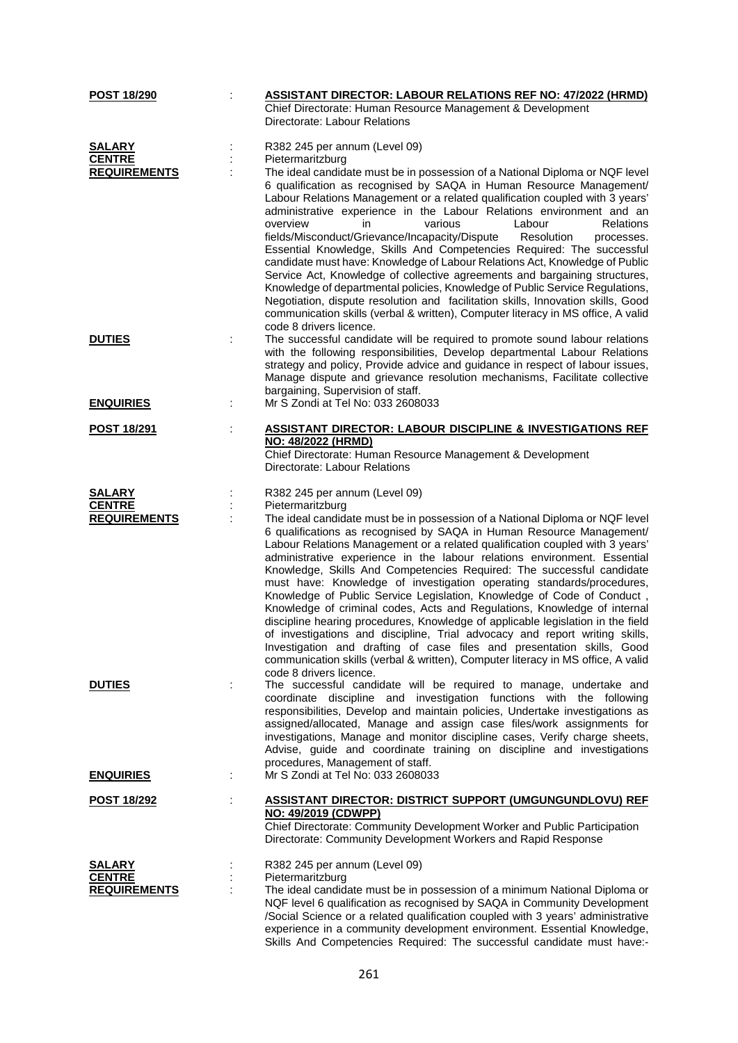| <b>POST 18/290</b>                   | <b>ASSISTANT DIRECTOR: LABOUR RELATIONS REF NO: 47/2022 (HRMD)</b>                                                                                                                                                                                                                                                                                                                                                                                                                                                                                                                                                                                                                                                                                                                                                                                                                                                                                                                                      |
|--------------------------------------|---------------------------------------------------------------------------------------------------------------------------------------------------------------------------------------------------------------------------------------------------------------------------------------------------------------------------------------------------------------------------------------------------------------------------------------------------------------------------------------------------------------------------------------------------------------------------------------------------------------------------------------------------------------------------------------------------------------------------------------------------------------------------------------------------------------------------------------------------------------------------------------------------------------------------------------------------------------------------------------------------------|
|                                      | Chief Directorate: Human Resource Management & Development<br>Directorate: Labour Relations                                                                                                                                                                                                                                                                                                                                                                                                                                                                                                                                                                                                                                                                                                                                                                                                                                                                                                             |
| <b>SALARY</b>                        | R382 245 per annum (Level 09)                                                                                                                                                                                                                                                                                                                                                                                                                                                                                                                                                                                                                                                                                                                                                                                                                                                                                                                                                                           |
| <b>CENTRE</b>                        | Pietermaritzburg                                                                                                                                                                                                                                                                                                                                                                                                                                                                                                                                                                                                                                                                                                                                                                                                                                                                                                                                                                                        |
| <b>REQUIREMENTS</b>                  | The ideal candidate must be in possession of a National Diploma or NQF level<br>6 qualification as recognised by SAQA in Human Resource Management/<br>Labour Relations Management or a related qualification coupled with 3 years'<br>administrative experience in the Labour Relations environment and an<br>various<br>Labour<br><b>Relations</b><br>overview<br>in<br>fields/Misconduct/Grievance/Incapacity/Dispute<br>Resolution<br>processes.<br>Essential Knowledge, Skills And Competencies Required: The successful<br>candidate must have: Knowledge of Labour Relations Act, Knowledge of Public<br>Service Act, Knowledge of collective agreements and bargaining structures,<br>Knowledge of departmental policies, Knowledge of Public Service Regulations,<br>Negotiation, dispute resolution and facilitation skills, Innovation skills, Good<br>communication skills (verbal & written), Computer literacy in MS office, A valid<br>code 8 drivers licence.                           |
| <b>DUTIES</b>                        | The successful candidate will be required to promote sound labour relations<br>with the following responsibilities, Develop departmental Labour Relations<br>strategy and policy, Provide advice and guidance in respect of labour issues,<br>Manage dispute and grievance resolution mechanisms, Facilitate collective<br>bargaining, Supervision of staff.                                                                                                                                                                                                                                                                                                                                                                                                                                                                                                                                                                                                                                            |
| <u>ENQUIRIES</u>                     | Mr S Zondi at Tel No: 033 2608033                                                                                                                                                                                                                                                                                                                                                                                                                                                                                                                                                                                                                                                                                                                                                                                                                                                                                                                                                                       |
| <b>POST 18/291</b>                   | <b>ASSISTANT DIRECTOR: LABOUR DISCIPLINE &amp; INVESTIGATIONS REF</b><br>NO: 48/2022 (HRMD)<br>Chief Directorate: Human Resource Management & Development<br>Directorate: Labour Relations                                                                                                                                                                                                                                                                                                                                                                                                                                                                                                                                                                                                                                                                                                                                                                                                              |
| <b>SALARY</b>                        | R382 245 per annum (Level 09)                                                                                                                                                                                                                                                                                                                                                                                                                                                                                                                                                                                                                                                                                                                                                                                                                                                                                                                                                                           |
| <b>CENTRE</b><br><b>REQUIREMENTS</b> | Pietermaritzburg<br>The ideal candidate must be in possession of a National Diploma or NQF level<br>6 qualifications as recognised by SAQA in Human Resource Management/<br>Labour Relations Management or a related qualification coupled with 3 years'<br>administrative experience in the labour relations environment. Essential<br>Knowledge, Skills And Competencies Required: The successful candidate<br>must have: Knowledge of investigation operating standards/procedures,<br>Knowledge of Public Service Legislation, Knowledge of Code of Conduct,<br>Knowledge of criminal codes, Acts and Regulations, Knowledge of internal<br>discipline hearing procedures, Knowledge of applicable legislation in the field<br>of investigations and discipline, Trial advocacy and report writing skills,<br>Investigation and drafting of case files and presentation skills, Good<br>communication skills (verbal & written), Computer literacy in MS office, A valid<br>code 8 drivers licence. |
| <b>DUTIES</b>                        | The successful candidate will be required to manage, undertake and<br>coordinate discipline and investigation functions with the following<br>responsibilities, Develop and maintain policies, Undertake investigations as<br>assigned/allocated, Manage and assign case files/work assignments for<br>investigations, Manage and monitor discipline cases, Verify charge sheets,<br>Advise, guide and coordinate training on discipline and investigations<br>procedures, Management of staff.                                                                                                                                                                                                                                                                                                                                                                                                                                                                                                         |
| <b>ENQUIRIES</b>                     | Mr S Zondi at Tel No: 033 2608033                                                                                                                                                                                                                                                                                                                                                                                                                                                                                                                                                                                                                                                                                                                                                                                                                                                                                                                                                                       |
| <u>POST 18/292</u>                   | <b>ASSISTANT DIRECTOR: DISTRICT SUPPORT (UMGUNGUNDLOVU) REF</b><br>NO: 49/2019 (CDWPP)<br>Chief Directorate: Community Development Worker and Public Participation<br>Directorate: Community Development Workers and Rapid Response                                                                                                                                                                                                                                                                                                                                                                                                                                                                                                                                                                                                                                                                                                                                                                     |
| <b>SALARY</b>                        | R382 245 per annum (Level 09)                                                                                                                                                                                                                                                                                                                                                                                                                                                                                                                                                                                                                                                                                                                                                                                                                                                                                                                                                                           |
| <b>CENTRE</b><br><b>REQUIREMENTS</b> | Pietermaritzburg<br>The ideal candidate must be in possession of a minimum National Diploma or<br>NQF level 6 qualification as recognised by SAQA in Community Development<br>/Social Science or a related qualification coupled with 3 years' administrative<br>experience in a community development environment. Essential Knowledge,<br>Skills And Competencies Required: The successful candidate must have:-                                                                                                                                                                                                                                                                                                                                                                                                                                                                                                                                                                                      |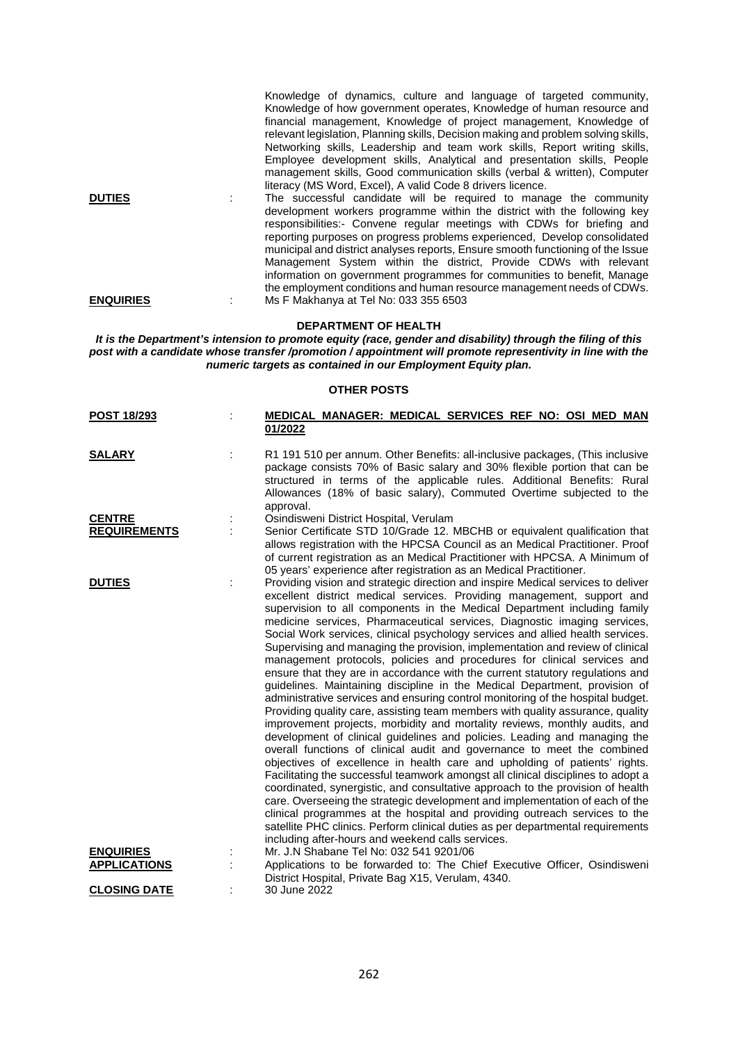Knowledge of dynamics, culture and language of targeted community, Knowledge of how government operates, Knowledge of human resource and financial management, Knowledge of project management, Knowledge of relevant legislation, Planning skills, Decision making and problem solving skills, Networking skills, Leadership and team work skills, Report writing skills, Employee development skills, Analytical and presentation skills, People management skills, Good communication skills (verbal & written), Computer literacy (MS Word, Excel), A valid Code 8 drivers licence.

**DUTIES** : The successful candidate will be required to manage the community development workers programme within the district with the following key responsibilities:- Convene regular meetings with CDWs for briefing and reporting purposes on progress problems experienced, Develop consolidated municipal and district analyses reports, Ensure smooth functioning of the Issue Management System within the district, Provide CDWs with relevant information on government programmes for communities to benefit, Manage the employment conditions and human resource management needs of CDWs. **ENQUIRIES** : Ms F Makhanya at Tel No: 033 355 6503

## **DEPARTMENT OF HEALTH**

*It is the Department's intension to promote equity (race, gender and disability) through the filing of this post with a candidate whose transfer /promotion / appointment will promote representivity in line with the numeric targets as contained in our Employment Equity plan.*

## **OTHER POSTS**

| <b>POST 18/293</b>                      | MEDICAL MANAGER: MEDICAL SERVICES REF NO: OSI MED MAN                                                                                                                                                                                                                                                                                                                                                                                                                                                                                                                                                                                                                                                                                                                                                                                                                                                                                                                                                                                                                                                                                                                                                                                                                                                                                                                                                                                                                                                                                                                                                                                                                                                |
|-----------------------------------------|------------------------------------------------------------------------------------------------------------------------------------------------------------------------------------------------------------------------------------------------------------------------------------------------------------------------------------------------------------------------------------------------------------------------------------------------------------------------------------------------------------------------------------------------------------------------------------------------------------------------------------------------------------------------------------------------------------------------------------------------------------------------------------------------------------------------------------------------------------------------------------------------------------------------------------------------------------------------------------------------------------------------------------------------------------------------------------------------------------------------------------------------------------------------------------------------------------------------------------------------------------------------------------------------------------------------------------------------------------------------------------------------------------------------------------------------------------------------------------------------------------------------------------------------------------------------------------------------------------------------------------------------------------------------------------------------------|
|                                         | 01/2022                                                                                                                                                                                                                                                                                                                                                                                                                                                                                                                                                                                                                                                                                                                                                                                                                                                                                                                                                                                                                                                                                                                                                                                                                                                                                                                                                                                                                                                                                                                                                                                                                                                                                              |
| <b>SALARY</b>                           | R1 191 510 per annum. Other Benefits: all-inclusive packages, (This inclusive<br>package consists 70% of Basic salary and 30% flexible portion that can be<br>structured in terms of the applicable rules. Additional Benefits: Rural<br>Allowances (18% of basic salary), Commuted Overtime subjected to the<br>approval.                                                                                                                                                                                                                                                                                                                                                                                                                                                                                                                                                                                                                                                                                                                                                                                                                                                                                                                                                                                                                                                                                                                                                                                                                                                                                                                                                                           |
| <b>CENTRE</b>                           | Osindisweni District Hospital, Verulam                                                                                                                                                                                                                                                                                                                                                                                                                                                                                                                                                                                                                                                                                                                                                                                                                                                                                                                                                                                                                                                                                                                                                                                                                                                                                                                                                                                                                                                                                                                                                                                                                                                               |
| <b>REQUIREMENTS</b>                     | Senior Certificate STD 10/Grade 12. MBCHB or equivalent qualification that<br>allows registration with the HPCSA Council as an Medical Practitioner. Proof<br>of current registration as an Medical Practitioner with HPCSA. A Minimum of<br>05 years' experience after registration as an Medical Practitioner.                                                                                                                                                                                                                                                                                                                                                                                                                                                                                                                                                                                                                                                                                                                                                                                                                                                                                                                                                                                                                                                                                                                                                                                                                                                                                                                                                                                     |
| <b>DUTIES</b>                           | Providing vision and strategic direction and inspire Medical services to deliver<br>excellent district medical services. Providing management, support and<br>supervision to all components in the Medical Department including family<br>medicine services, Pharmaceutical services, Diagnostic imaging services,<br>Social Work services, clinical psychology services and allied health services.<br>Supervising and managing the provision, implementation and review of clinical<br>management protocols, policies and procedures for clinical services and<br>ensure that they are in accordance with the current statutory regulations and<br>guidelines. Maintaining discipline in the Medical Department, provision of<br>administrative services and ensuring control monitoring of the hospital budget.<br>Providing quality care, assisting team members with quality assurance, quality<br>improvement projects, morbidity and mortality reviews, monthly audits, and<br>development of clinical guidelines and policies. Leading and managing the<br>overall functions of clinical audit and governance to meet the combined<br>objectives of excellence in health care and upholding of patients' rights.<br>Facilitating the successful teamwork amongst all clinical disciplines to adopt a<br>coordinated, synergistic, and consultative approach to the provision of health<br>care. Overseeing the strategic development and implementation of each of the<br>clinical programmes at the hospital and providing outreach services to the<br>satellite PHC clinics. Perform clinical duties as per departmental requirements<br>including after-hours and weekend calls services. |
| <b>ENQUIRIES</b><br><b>APPLICATIONS</b> | Mr. J.N Shabane Tel No: 032 541 9201/06<br>Applications to be forwarded to: The Chief Executive Officer, Osindisweni<br>District Hospital, Private Bag X15, Verulam, 4340.                                                                                                                                                                                                                                                                                                                                                                                                                                                                                                                                                                                                                                                                                                                                                                                                                                                                                                                                                                                                                                                                                                                                                                                                                                                                                                                                                                                                                                                                                                                           |
| <b>CLOSING DATE</b>                     | 30 June 2022                                                                                                                                                                                                                                                                                                                                                                                                                                                                                                                                                                                                                                                                                                                                                                                                                                                                                                                                                                                                                                                                                                                                                                                                                                                                                                                                                                                                                                                                                                                                                                                                                                                                                         |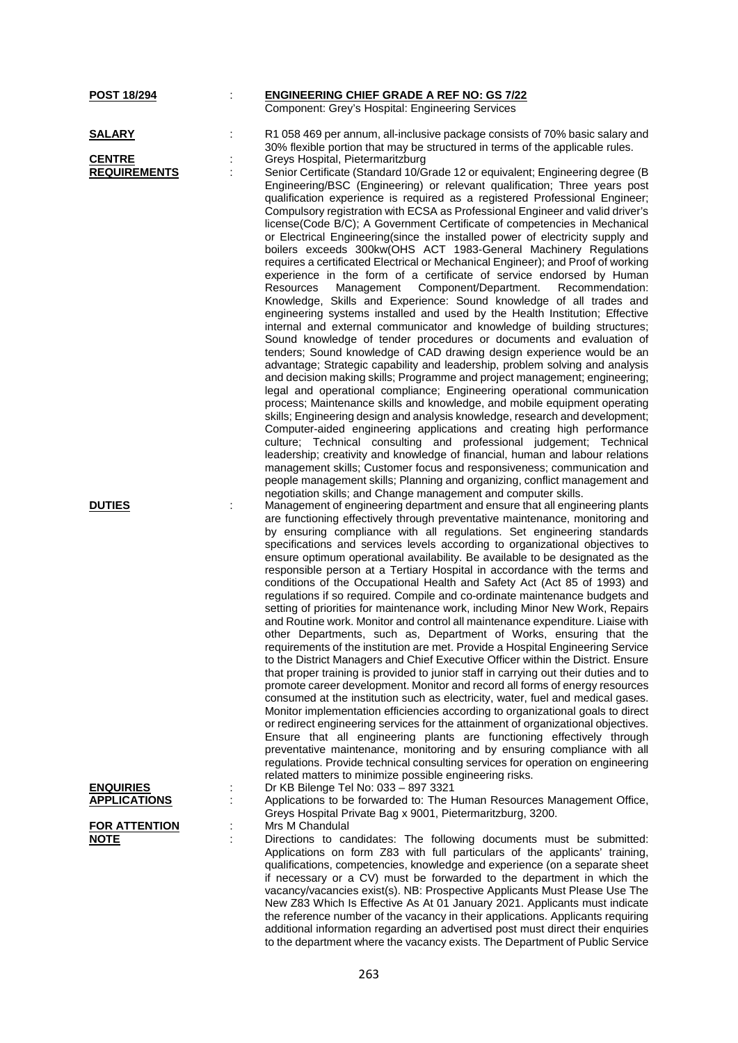| POST 18/294                                           | t,     | <b>ENGINEERING CHIEF GRADE A REF NO: GS 7/22</b><br>Component: Grey's Hospital: Engineering Services                                                                                                                                                                                                                                                                                                                                                                                                                                                                                                                                                                                                                                                                                                                                                                                                                                                                                                                                                                                                                                                                                                                                                                                                                                                                                                                                                                                                                                                                                                                                                                                                                                                                                                    |
|-------------------------------------------------------|--------|---------------------------------------------------------------------------------------------------------------------------------------------------------------------------------------------------------------------------------------------------------------------------------------------------------------------------------------------------------------------------------------------------------------------------------------------------------------------------------------------------------------------------------------------------------------------------------------------------------------------------------------------------------------------------------------------------------------------------------------------------------------------------------------------------------------------------------------------------------------------------------------------------------------------------------------------------------------------------------------------------------------------------------------------------------------------------------------------------------------------------------------------------------------------------------------------------------------------------------------------------------------------------------------------------------------------------------------------------------------------------------------------------------------------------------------------------------------------------------------------------------------------------------------------------------------------------------------------------------------------------------------------------------------------------------------------------------------------------------------------------------------------------------------------------------|
| <u>SALARY</u><br><b>CENTRE</b><br><b>REQUIREMENTS</b> | ÷<br>÷ | R1 058 469 per annum, all-inclusive package consists of 70% basic salary and<br>30% flexible portion that may be structured in terms of the applicable rules.<br>Greys Hospital, Pietermaritzburg<br>Senior Certificate (Standard 10/Grade 12 or equivalent; Engineering degree (B<br>Engineering/BSC (Engineering) or relevant qualification; Three years post<br>qualification experience is required as a registered Professional Engineer;<br>Compulsory registration with ECSA as Professional Engineer and valid driver's<br>license(Code B/C); A Government Certificate of competencies in Mechanical                                                                                                                                                                                                                                                                                                                                                                                                                                                                                                                                                                                                                                                                                                                                                                                                                                                                                                                                                                                                                                                                                                                                                                                            |
|                                                       |        | or Electrical Engineering(since the installed power of electricity supply and<br>boilers exceeds 300kw(OHS ACT 1983-General Machinery Regulations<br>requires a certificated Electrical or Mechanical Engineer); and Proof of working<br>experience in the form of a certificate of service endorsed by Human<br>Component/Department.<br>Resources<br>Management<br>Recommendation:<br>Knowledge, Skills and Experience: Sound knowledge of all trades and<br>engineering systems installed and used by the Health Institution; Effective<br>internal and external communicator and knowledge of building structures;<br>Sound knowledge of tender procedures or documents and evaluation of<br>tenders; Sound knowledge of CAD drawing design experience would be an<br>advantage; Strategic capability and leadership, problem solving and analysis                                                                                                                                                                                                                                                                                                                                                                                                                                                                                                                                                                                                                                                                                                                                                                                                                                                                                                                                                  |
|                                                       |        | and decision making skills; Programme and project management; engineering;<br>legal and operational compliance; Engineering operational communication<br>process; Maintenance skills and knowledge, and mobile equipment operating<br>skills; Engineering design and analysis knowledge, research and development;<br>Computer-aided engineering applications and creating high performance<br>culture; Technical consulting and professional judgement; Technical<br>leadership; creativity and knowledge of financial, human and labour relations<br>management skills; Customer focus and responsiveness; communication and<br>people management skills; Planning and organizing, conflict management and<br>negotiation skills; and Change management and computer skills.                                                                                                                                                                                                                                                                                                                                                                                                                                                                                                                                                                                                                                                                                                                                                                                                                                                                                                                                                                                                                          |
| <b>DUTIES</b>                                         |        | Management of engineering department and ensure that all engineering plants<br>are functioning effectively through preventative maintenance, monitoring and<br>by ensuring compliance with all regulations. Set engineering standards<br>specifications and services levels according to organizational objectives to<br>ensure optimum operational availability. Be available to be designated as the<br>responsible person at a Tertiary Hospital in accordance with the terms and<br>conditions of the Occupational Health and Safety Act (Act 85 of 1993) and<br>regulations if so required. Compile and co-ordinate maintenance budgets and<br>setting of priorities for maintenance work, including Minor New Work, Repairs<br>and Routine work. Monitor and control all maintenance expenditure. Liaise with<br>other Departments, such as, Department of Works, ensuring that the<br>requirements of the institution are met. Provide a Hospital Engineering Service<br>to the District Managers and Chief Executive Officer within the District. Ensure<br>that proper training is provided to junior staff in carrying out their duties and to<br>promote career development. Monitor and record all forms of energy resources<br>consumed at the institution such as electricity, water, fuel and medical gases.<br>Monitor implementation efficiencies according to organizational goals to direct<br>or redirect engineering services for the attainment of organizational objectives.<br>Ensure that all engineering plants are functioning effectively through<br>preventative maintenance, monitoring and by ensuring compliance with all<br>regulations. Provide technical consulting services for operation on engineering<br>related matters to minimize possible engineering risks. |
| <b>ENQUIRIES</b><br><b>APPLICATIONS</b>               |        | Dr KB Bilenge Tel No: 033 - 897 3321<br>Applications to be forwarded to: The Human Resources Management Office,<br>Greys Hospital Private Bag x 9001, Pietermaritzburg, 3200.                                                                                                                                                                                                                                                                                                                                                                                                                                                                                                                                                                                                                                                                                                                                                                                                                                                                                                                                                                                                                                                                                                                                                                                                                                                                                                                                                                                                                                                                                                                                                                                                                           |
| <b>FOR ATTENTION</b><br><b>NOTE</b>                   | İ      | Mrs M Chandulal<br>Directions to candidates: The following documents must be submitted:<br>Applications on form Z83 with full particulars of the applicants' training,<br>qualifications, competencies, knowledge and experience (on a separate sheet<br>if necessary or a CV) must be forwarded to the department in which the<br>vacancy/vacancies exist(s). NB: Prospective Applicants Must Please Use The<br>New Z83 Which Is Effective As At 01 January 2021. Applicants must indicate<br>the reference number of the vacancy in their applications. Applicants requiring                                                                                                                                                                                                                                                                                                                                                                                                                                                                                                                                                                                                                                                                                                                                                                                                                                                                                                                                                                                                                                                                                                                                                                                                                          |

additional information regarding an advertised post must direct their enquiries to the department where the vacancy exists. The Department of Public Service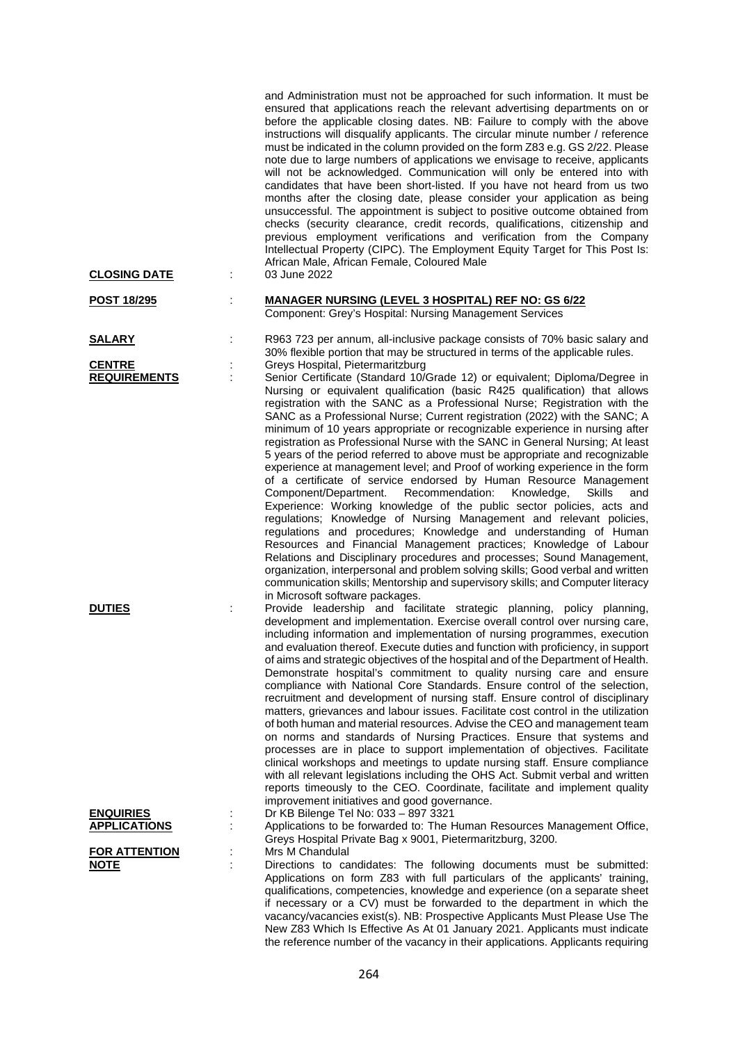| <b>CLOSING DATE</b>                     | and Administration must not be approached for such information. It must be<br>ensured that applications reach the relevant advertising departments on or<br>before the applicable closing dates. NB: Failure to comply with the above<br>instructions will disqualify applicants. The circular minute number / reference<br>must be indicated in the column provided on the form Z83 e.g. GS 2/22. Please<br>note due to large numbers of applications we envisage to receive, applicants<br>will not be acknowledged. Communication will only be entered into with<br>candidates that have been short-listed. If you have not heard from us two<br>months after the closing date, please consider your application as being<br>unsuccessful. The appointment is subject to positive outcome obtained from<br>checks (security clearance, credit records, qualifications, citizenship and<br>previous employment verifications and verification from the Company<br>Intellectual Property (CIPC). The Employment Equity Target for This Post Is:<br>African Male, African Female, Coloured Male<br>03 June 2022<br>÷                                                                                                                                                                                                                                                                                            |     |
|-----------------------------------------|-----------------------------------------------------------------------------------------------------------------------------------------------------------------------------------------------------------------------------------------------------------------------------------------------------------------------------------------------------------------------------------------------------------------------------------------------------------------------------------------------------------------------------------------------------------------------------------------------------------------------------------------------------------------------------------------------------------------------------------------------------------------------------------------------------------------------------------------------------------------------------------------------------------------------------------------------------------------------------------------------------------------------------------------------------------------------------------------------------------------------------------------------------------------------------------------------------------------------------------------------------------------------------------------------------------------------------------------------------------------------------------------------------------------|-----|
| <u>POST 18/295</u>                      | <b>MANAGER NURSING (LEVEL 3 HOSPITAL) REF NO: GS 6/22</b><br>Component: Grey's Hospital: Nursing Management Services                                                                                                                                                                                                                                                                                                                                                                                                                                                                                                                                                                                                                                                                                                                                                                                                                                                                                                                                                                                                                                                                                                                                                                                                                                                                                            |     |
| <u>SALARY</u>                           | R963 723 per annum, all-inclusive package consists of 70% basic salary and<br>30% flexible portion that may be structured in terms of the applicable rules.                                                                                                                                                                                                                                                                                                                                                                                                                                                                                                                                                                                                                                                                                                                                                                                                                                                                                                                                                                                                                                                                                                                                                                                                                                                     |     |
| <b>CENTRE</b><br><b>REQUIREMENTS</b>    | Greys Hospital, Pietermaritzburg<br>Senior Certificate (Standard 10/Grade 12) or equivalent; Diploma/Degree in<br>÷<br>Nursing or equivalent qualification (basic R425 qualification) that allows<br>registration with the SANC as a Professional Nurse; Registration with the<br>SANC as a Professional Nurse; Current registration (2022) with the SANC; A<br>minimum of 10 years appropriate or recognizable experience in nursing after<br>registration as Professional Nurse with the SANC in General Nursing; At least<br>5 years of the period referred to above must be appropriate and recognizable<br>experience at management level; and Proof of working experience in the form<br>of a certificate of service endorsed by Human Resource Management<br>Recommendation:<br>Component/Department.<br>Knowledge,<br>Skills<br>Experience: Working knowledge of the public sector policies, acts and<br>regulations; Knowledge of Nursing Management and relevant policies,<br>regulations and procedures; Knowledge and understanding of Human<br>Resources and Financial Management practices; Knowledge of Labour<br>Relations and Disciplinary procedures and processes; Sound Management,<br>organization, interpersonal and problem solving skills; Good verbal and written<br>communication skills; Mentorship and supervisory skills; and Computer literacy<br>in Microsoft software packages. | and |
| <b>DUTIES</b>                           | Provide leadership and facilitate strategic planning, policy planning,<br>development and implementation. Exercise overall control over nursing care,<br>including information and implementation of nursing programmes, execution<br>and evaluation thereof. Execute duties and function with proficiency, in support<br>of aims and strategic objectives of the hospital and of the Department of Health.<br>Demonstrate hospital's commitment to quality nursing care and ensure<br>compliance with National Core Standards. Ensure control of the selection,<br>recruitment and development of nursing staff. Ensure control of disciplinary<br>matters, grievances and labour issues. Facilitate cost control in the utilization<br>of both human and material resources. Advise the CEO and management team<br>on norms and standards of Nursing Practices. Ensure that systems and<br>processes are in place to support implementation of objectives. Facilitate<br>clinical workshops and meetings to update nursing staff. Ensure compliance<br>with all relevant legislations including the OHS Act. Submit verbal and written<br>reports timeously to the CEO. Coordinate, facilitate and implement quality                                                                                                                                                                                          |     |
| <b>ENQUIRIES</b><br><b>APPLICATIONS</b> | improvement initiatives and good governance.<br>Dr KB Bilenge Tel No: 033 - 897 3321<br>İ,<br>Applications to be forwarded to: The Human Resources Management Office,                                                                                                                                                                                                                                                                                                                                                                                                                                                                                                                                                                                                                                                                                                                                                                                                                                                                                                                                                                                                                                                                                                                                                                                                                                           |     |
| <b>FOR ATTENTION</b><br><u>NOTE</u>     | Greys Hospital Private Bag x 9001, Pietermaritzburg, 3200.<br>Mrs M Chandulal<br>Directions to candidates: The following documents must be submitted:<br>Applications on form Z83 with full particulars of the applicants' training,<br>qualifications, competencies, knowledge and experience (on a separate sheet<br>if necessary or a CV) must be forwarded to the department in which the<br>vacancy/vacancies exist(s). NB: Prospective Applicants Must Please Use The<br>New Z83 Which Is Effective As At 01 January 2021. Applicants must indicate<br>the reference number of the vacancy in their applications. Applicants requiring                                                                                                                                                                                                                                                                                                                                                                                                                                                                                                                                                                                                                                                                                                                                                                    |     |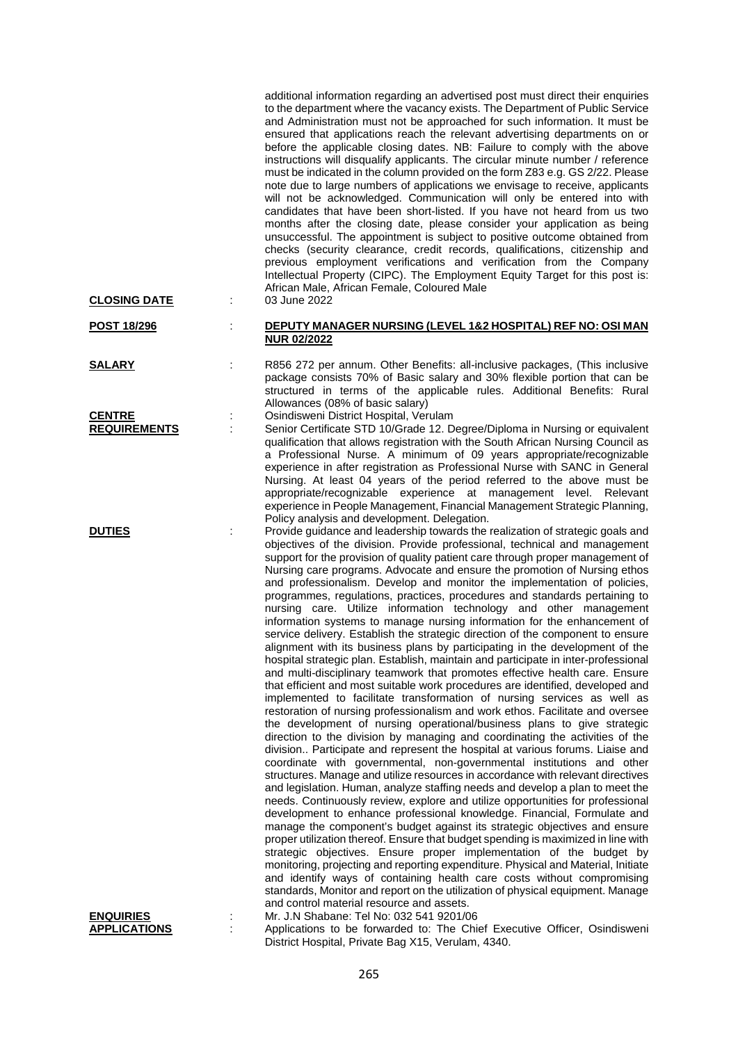| <b>CLOSING DATE</b>                     |    | additional information regarding an advertised post must direct their enquiries<br>to the department where the vacancy exists. The Department of Public Service<br>and Administration must not be approached for such information. It must be<br>ensured that applications reach the relevant advertising departments on or<br>before the applicable closing dates. NB: Failure to comply with the above<br>instructions will disqualify applicants. The circular minute number / reference<br>must be indicated in the column provided on the form Z83 e.g. GS 2/22. Please<br>note due to large numbers of applications we envisage to receive, applicants<br>will not be acknowledged. Communication will only be entered into with<br>candidates that have been short-listed. If you have not heard from us two<br>months after the closing date, please consider your application as being<br>unsuccessful. The appointment is subject to positive outcome obtained from<br>checks (security clearance, credit records, qualifications, citizenship and<br>previous employment verifications and verification from the Company<br>Intellectual Property (CIPC). The Employment Equity Target for this post is:<br>African Male, African Female, Coloured Male<br>03 June 2022                                                                                                                                                                                                                                                                                                                                                                                                                                                                                                                                                                                                                                                                                                                                                                                                                                                                                                                                                                                                                                                                                                                                       |
|-----------------------------------------|----|--------------------------------------------------------------------------------------------------------------------------------------------------------------------------------------------------------------------------------------------------------------------------------------------------------------------------------------------------------------------------------------------------------------------------------------------------------------------------------------------------------------------------------------------------------------------------------------------------------------------------------------------------------------------------------------------------------------------------------------------------------------------------------------------------------------------------------------------------------------------------------------------------------------------------------------------------------------------------------------------------------------------------------------------------------------------------------------------------------------------------------------------------------------------------------------------------------------------------------------------------------------------------------------------------------------------------------------------------------------------------------------------------------------------------------------------------------------------------------------------------------------------------------------------------------------------------------------------------------------------------------------------------------------------------------------------------------------------------------------------------------------------------------------------------------------------------------------------------------------------------------------------------------------------------------------------------------------------------------------------------------------------------------------------------------------------------------------------------------------------------------------------------------------------------------------------------------------------------------------------------------------------------------------------------------------------------------------------------------------------------------------------------------------------------|
| <u>POST 18/296</u>                      | İ  | DEPUTY MANAGER NURSING (LEVEL 1&2 HOSPITAL) REF NO: OSI MAN<br><b>NUR 02/2022</b>                                                                                                                                                                                                                                                                                                                                                                                                                                                                                                                                                                                                                                                                                                                                                                                                                                                                                                                                                                                                                                                                                                                                                                                                                                                                                                                                                                                                                                                                                                                                                                                                                                                                                                                                                                                                                                                                                                                                                                                                                                                                                                                                                                                                                                                                                                                                        |
| <b>SALARY</b>                           | t  | R856 272 per annum. Other Benefits: all-inclusive packages, (This inclusive<br>package consists 70% of Basic salary and 30% flexible portion that can be<br>structured in terms of the applicable rules. Additional Benefits: Rural<br>Allowances (08% of basic salary)                                                                                                                                                                                                                                                                                                                                                                                                                                                                                                                                                                                                                                                                                                                                                                                                                                                                                                                                                                                                                                                                                                                                                                                                                                                                                                                                                                                                                                                                                                                                                                                                                                                                                                                                                                                                                                                                                                                                                                                                                                                                                                                                                  |
| <b>CENTRE</b><br><b>REQUIREMENTS</b>    | ÷  | Osindisweni District Hospital, Verulam<br>Senior Certificate STD 10/Grade 12. Degree/Diploma in Nursing or equivalent<br>qualification that allows registration with the South African Nursing Council as<br>a Professional Nurse. A minimum of 09 years appropriate/recognizable<br>experience in after registration as Professional Nurse with SANC in General<br>Nursing. At least 04 years of the period referred to the above must be<br>appropriate/recognizable experience at management level. Relevant<br>experience in People Management, Financial Management Strategic Planning,<br>Policy analysis and development. Delegation.                                                                                                                                                                                                                                                                                                                                                                                                                                                                                                                                                                                                                                                                                                                                                                                                                                                                                                                                                                                                                                                                                                                                                                                                                                                                                                                                                                                                                                                                                                                                                                                                                                                                                                                                                                             |
| <b>DUTIES</b>                           |    | Provide guidance and leadership towards the realization of strategic goals and<br>objectives of the division. Provide professional, technical and management<br>support for the provision of quality patient care through proper management of<br>Nursing care programs. Advocate and ensure the promotion of Nursing ethos<br>and professionalism. Develop and monitor the implementation of policies,<br>programmes, regulations, practices, procedures and standards pertaining to<br>nursing care. Utilize information technology and other management<br>information systems to manage nursing information for the enhancement of<br>service delivery. Establish the strategic direction of the component to ensure<br>alignment with its business plans by participating in the development of the<br>hospital strategic plan. Establish, maintain and participate in inter-professional<br>and multi-disciplinary teamwork that promotes effective health care. Ensure<br>that efficient and most suitable work procedures are identified, developed and<br>implemented to facilitate transformation of nursing services as well as<br>restoration of nursing professionalism and work ethos. Facilitate and oversee<br>the development of nursing operational/business plans to give strategic<br>direction to the division by managing and coordinating the activities of the<br>division Participate and represent the hospital at various forums. Liaise and<br>coordinate with governmental, non-governmental institutions and other<br>structures. Manage and utilize resources in accordance with relevant directives<br>and legislation. Human, analyze staffing needs and develop a plan to meet the<br>needs. Continuously review, explore and utilize opportunities for professional<br>development to enhance professional knowledge. Financial, Formulate and<br>manage the component's budget against its strategic objectives and ensure<br>proper utilization thereof. Ensure that budget spending is maximized in line with<br>strategic objectives. Ensure proper implementation of the budget by<br>monitoring, projecting and reporting expenditure. Physical and Material, Initiate<br>and identify ways of containing health care costs without compromising<br>standards, Monitor and report on the utilization of physical equipment. Manage<br>and control material resource and assets. |
| <u>ENQUIRIES</u><br><b>APPLICATIONS</b> | İ, | Mr. J.N Shabane: Tel No: 032 541 9201/06<br>Applications to be forwarded to: The Chief Executive Officer, Osindisweni<br>District Hospital, Private Bag X15, Verulam, 4340.                                                                                                                                                                                                                                                                                                                                                                                                                                                                                                                                                                                                                                                                                                                                                                                                                                                                                                                                                                                                                                                                                                                                                                                                                                                                                                                                                                                                                                                                                                                                                                                                                                                                                                                                                                                                                                                                                                                                                                                                                                                                                                                                                                                                                                              |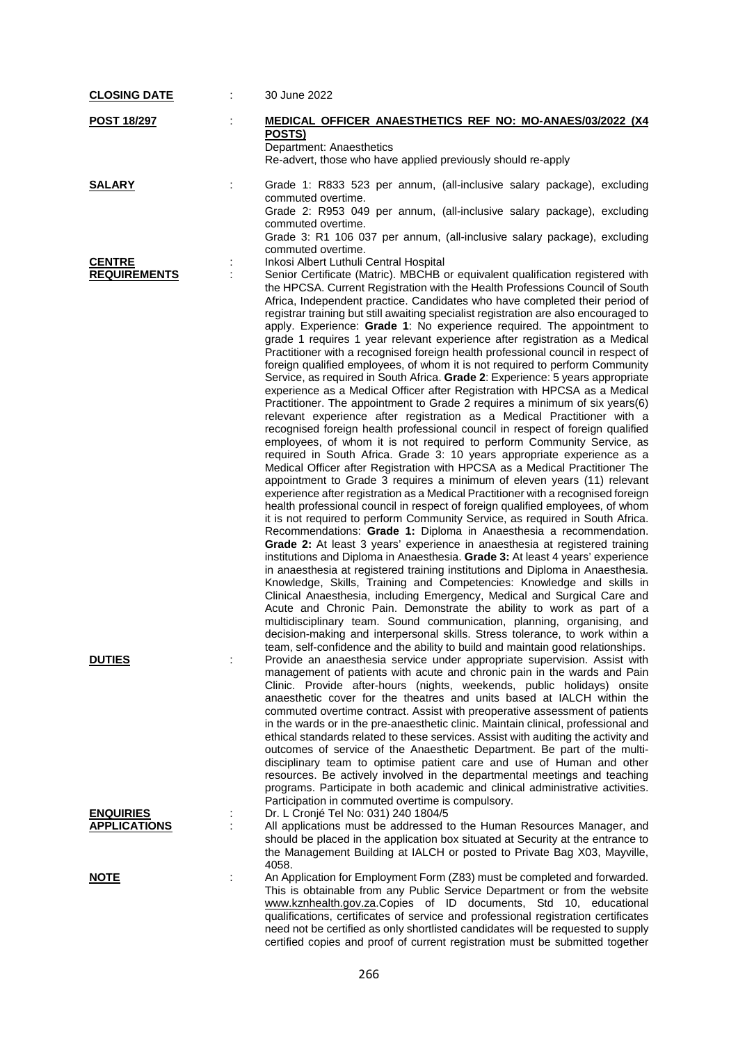| <b>CLOSING DATE</b>                     | 30 June 2022                                                                                                                                                                                                                                                                                                                                                                                                                                                                                                                                                                                                                                                                                                                                                                                                                                                                                                                                                                                                                                                                                                                                                                                                                                                                                                                                                                                                                                                                                                                                                                                                                                                                                                                                                                                                                                                                                                                                                                                                                                                                                                                                                                                                                                                                                                                                                                                                                                                                                       |
|-----------------------------------------|----------------------------------------------------------------------------------------------------------------------------------------------------------------------------------------------------------------------------------------------------------------------------------------------------------------------------------------------------------------------------------------------------------------------------------------------------------------------------------------------------------------------------------------------------------------------------------------------------------------------------------------------------------------------------------------------------------------------------------------------------------------------------------------------------------------------------------------------------------------------------------------------------------------------------------------------------------------------------------------------------------------------------------------------------------------------------------------------------------------------------------------------------------------------------------------------------------------------------------------------------------------------------------------------------------------------------------------------------------------------------------------------------------------------------------------------------------------------------------------------------------------------------------------------------------------------------------------------------------------------------------------------------------------------------------------------------------------------------------------------------------------------------------------------------------------------------------------------------------------------------------------------------------------------------------------------------------------------------------------------------------------------------------------------------------------------------------------------------------------------------------------------------------------------------------------------------------------------------------------------------------------------------------------------------------------------------------------------------------------------------------------------------------------------------------------------------------------------------------------------------|
| <u>POST 18/297</u>                      | MEDICAL OFFICER ANAESTHETICS REF NO: MO-ANAES/03/2022 (X4<br>POSTS)<br>Department: Anaesthetics<br>Re-advert, those who have applied previously should re-apply                                                                                                                                                                                                                                                                                                                                                                                                                                                                                                                                                                                                                                                                                                                                                                                                                                                                                                                                                                                                                                                                                                                                                                                                                                                                                                                                                                                                                                                                                                                                                                                                                                                                                                                                                                                                                                                                                                                                                                                                                                                                                                                                                                                                                                                                                                                                    |
| <b>SALARY</b>                           | Grade 1: R833 523 per annum, (all-inclusive salary package), excluding<br>commuted overtime.<br>Grade 2: R953 049 per annum, (all-inclusive salary package), excluding<br>commuted overtime.<br>Grade 3: R1 106 037 per annum, (all-inclusive salary package), excluding<br>commuted overtime.                                                                                                                                                                                                                                                                                                                                                                                                                                                                                                                                                                                                                                                                                                                                                                                                                                                                                                                                                                                                                                                                                                                                                                                                                                                                                                                                                                                                                                                                                                                                                                                                                                                                                                                                                                                                                                                                                                                                                                                                                                                                                                                                                                                                     |
| <b>CENTRE</b><br><b>REQUIREMENTS</b>    | Inkosi Albert Luthuli Central Hospital<br>Senior Certificate (Matric). MBCHB or equivalent qualification registered with<br>the HPCSA. Current Registration with the Health Professions Council of South<br>Africa, Independent practice. Candidates who have completed their period of<br>registrar training but still awaiting specialist registration are also encouraged to<br>apply. Experience: Grade 1: No experience required. The appointment to<br>grade 1 requires 1 year relevant experience after registration as a Medical<br>Practitioner with a recognised foreign health professional council in respect of<br>foreign qualified employees, of whom it is not required to perform Community<br>Service, as required in South Africa. Grade 2: Experience: 5 years appropriate<br>experience as a Medical Officer after Registration with HPCSA as a Medical<br>Practitioner. The appointment to Grade 2 requires a minimum of six years(6)<br>relevant experience after registration as a Medical Practitioner with a<br>recognised foreign health professional council in respect of foreign qualified<br>employees, of whom it is not required to perform Community Service, as<br>required in South Africa. Grade 3: 10 years appropriate experience as a<br>Medical Officer after Registration with HPCSA as a Medical Practitioner The<br>appointment to Grade 3 requires a minimum of eleven years (11) relevant<br>experience after registration as a Medical Practitioner with a recognised foreign<br>health professional council in respect of foreign qualified employees, of whom<br>it is not required to perform Community Service, as required in South Africa.<br>Recommendations: Grade 1: Diploma in Anaesthesia a recommendation.<br>Grade 2: At least 3 years' experience in anaesthesia at registered training<br>institutions and Diploma in Anaesthesia. Grade 3: At least 4 years' experience<br>in anaesthesia at registered training institutions and Diploma in Anaesthesia.<br>Knowledge, Skills, Training and Competencies: Knowledge and skills in<br>Clinical Anaesthesia, including Emergency, Medical and Surgical Care and<br>Acute and Chronic Pain. Demonstrate the ability to work as part of a<br>multidisciplinary team. Sound communication, planning, organising, and<br>decision-making and interpersonal skills. Stress tolerance, to work within a<br>team, self-confidence and the ability to build and maintain good relationships. |
| <b>DUTIES</b>                           | Provide an anaesthesia service under appropriate supervision. Assist with<br>management of patients with acute and chronic pain in the wards and Pain<br>Clinic. Provide after-hours (nights, weekends, public holidays) onsite<br>anaesthetic cover for the theatres and units based at IALCH within the<br>commuted overtime contract. Assist with preoperative assessment of patients<br>in the wards or in the pre-anaesthetic clinic. Maintain clinical, professional and<br>ethical standards related to these services. Assist with auditing the activity and<br>outcomes of service of the Anaesthetic Department. Be part of the multi-<br>disciplinary team to optimise patient care and use of Human and other<br>resources. Be actively involved in the departmental meetings and teaching<br>programs. Participate in both academic and clinical administrative activities.                                                                                                                                                                                                                                                                                                                                                                                                                                                                                                                                                                                                                                                                                                                                                                                                                                                                                                                                                                                                                                                                                                                                                                                                                                                                                                                                                                                                                                                                                                                                                                                                           |
| <b>ENQUIRIES</b><br><b>APPLICATIONS</b> | Participation in commuted overtime is compulsory.<br>Dr. L Cronjé Tel No: 031) 240 1804/5<br>All applications must be addressed to the Human Resources Manager, and<br>should be placed in the application box situated at Security at the entrance to<br>the Management Building at IALCH or posted to Private Bag X03, Mayville,<br>4058.                                                                                                                                                                                                                                                                                                                                                                                                                                                                                                                                                                                                                                                                                                                                                                                                                                                                                                                                                                                                                                                                                                                                                                                                                                                                                                                                                                                                                                                                                                                                                                                                                                                                                                                                                                                                                                                                                                                                                                                                                                                                                                                                                        |
| <u>NOTE</u>                             | An Application for Employment Form (Z83) must be completed and forwarded.<br>This is obtainable from any Public Service Department or from the website<br>www.kznhealth.gov.za.Copies of ID documents, Std 10, educational<br>qualifications, certificates of service and professional registration certificates<br>need not be certified as only shortlisted candidates will be requested to supply                                                                                                                                                                                                                                                                                                                                                                                                                                                                                                                                                                                                                                                                                                                                                                                                                                                                                                                                                                                                                                                                                                                                                                                                                                                                                                                                                                                                                                                                                                                                                                                                                                                                                                                                                                                                                                                                                                                                                                                                                                                                                               |

certified copies and proof of current registration must be submitted together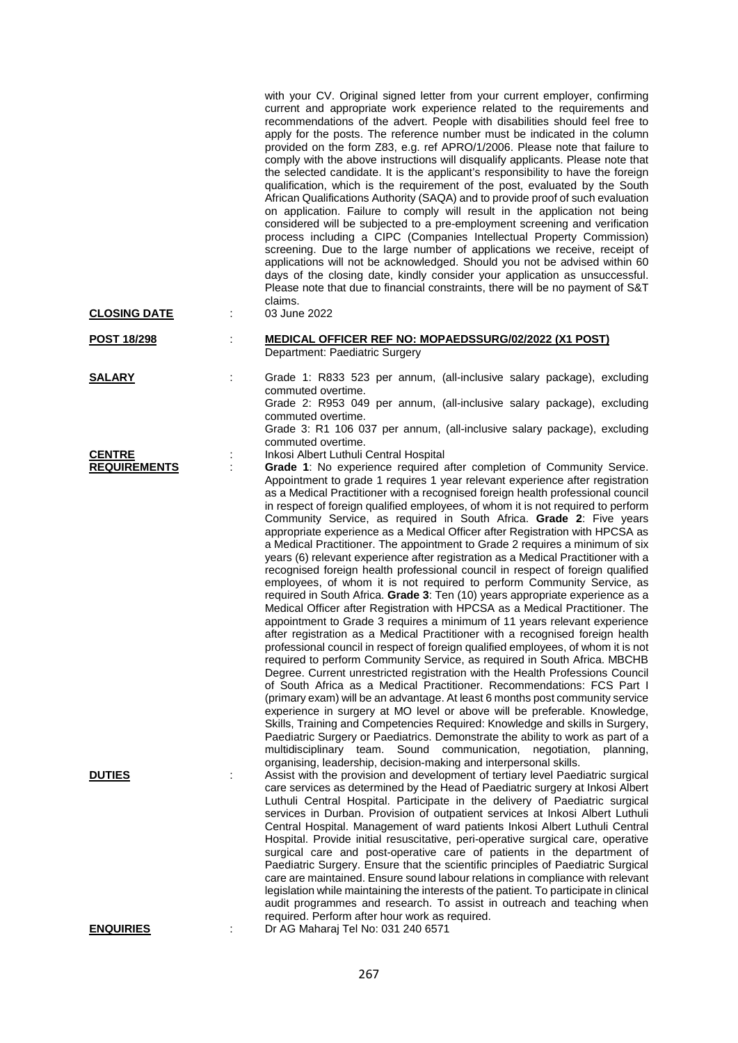|                                      |   | with your CV. Original signed letter from your current employer, confirming<br>current and appropriate work experience related to the requirements and<br>recommendations of the advert. People with disabilities should feel free to<br>apply for the posts. The reference number must be indicated in the column<br>provided on the form Z83, e.g. ref APRO/1/2006. Please note that failure to<br>comply with the above instructions will disqualify applicants. Please note that<br>the selected candidate. It is the applicant's responsibility to have the foreign<br>qualification, which is the requirement of the post, evaluated by the South<br>African Qualifications Authority (SAQA) and to provide proof of such evaluation<br>on application. Failure to comply will result in the application not being<br>considered will be subjected to a pre-employment screening and verification<br>process including a CIPC (Companies Intellectual Property Commission)<br>screening. Due to the large number of applications we receive, receipt of<br>applications will not be acknowledged. Should you not be advised within 60<br>days of the closing date, kindly consider your application as unsuccessful.<br>Please note that due to financial constraints, there will be no payment of S&T<br>claims.                                                                                                                                                                                                                                                                                                                                                                                                                                                                                                                                                                                                                                          |
|--------------------------------------|---|------------------------------------------------------------------------------------------------------------------------------------------------------------------------------------------------------------------------------------------------------------------------------------------------------------------------------------------------------------------------------------------------------------------------------------------------------------------------------------------------------------------------------------------------------------------------------------------------------------------------------------------------------------------------------------------------------------------------------------------------------------------------------------------------------------------------------------------------------------------------------------------------------------------------------------------------------------------------------------------------------------------------------------------------------------------------------------------------------------------------------------------------------------------------------------------------------------------------------------------------------------------------------------------------------------------------------------------------------------------------------------------------------------------------------------------------------------------------------------------------------------------------------------------------------------------------------------------------------------------------------------------------------------------------------------------------------------------------------------------------------------------------------------------------------------------------------------------------------------------------------------------------------------------------------------------------------------------|
| <b>CLOSING DATE</b>                  | t | 03 June 2022                                                                                                                                                                                                                                                                                                                                                                                                                                                                                                                                                                                                                                                                                                                                                                                                                                                                                                                                                                                                                                                                                                                                                                                                                                                                                                                                                                                                                                                                                                                                                                                                                                                                                                                                                                                                                                                                                                                                                     |
| POST 18/298                          | t | <b>MEDICAL OFFICER REF NO: MOPAEDSSURG/02/2022 (X1 POST)</b><br>Department: Paediatric Surgery                                                                                                                                                                                                                                                                                                                                                                                                                                                                                                                                                                                                                                                                                                                                                                                                                                                                                                                                                                                                                                                                                                                                                                                                                                                                                                                                                                                                                                                                                                                                                                                                                                                                                                                                                                                                                                                                   |
| <b>SALARY</b>                        | ÷ | Grade 1: R833 523 per annum, (all-inclusive salary package), excluding<br>commuted overtime.<br>Grade 2: R953 049 per annum, (all-inclusive salary package), excluding<br>commuted overtime.<br>Grade 3: R1 106 037 per annum, (all-inclusive salary package), excluding                                                                                                                                                                                                                                                                                                                                                                                                                                                                                                                                                                                                                                                                                                                                                                                                                                                                                                                                                                                                                                                                                                                                                                                                                                                                                                                                                                                                                                                                                                                                                                                                                                                                                         |
| <b>CENTRE</b><br><b>REQUIREMENTS</b> |   | commuted overtime.<br>Inkosi Albert Luthuli Central Hospital<br>Grade 1: No experience required after completion of Community Service.<br>Appointment to grade 1 requires 1 year relevant experience after registration<br>as a Medical Practitioner with a recognised foreign health professional council<br>in respect of foreign qualified employees, of whom it is not required to perform<br>Community Service, as required in South Africa. Grade 2: Five years<br>appropriate experience as a Medical Officer after Registration with HPCSA as<br>a Medical Practitioner. The appointment to Grade 2 requires a minimum of six<br>years (6) relevant experience after registration as a Medical Practitioner with a<br>recognised foreign health professional council in respect of foreign qualified<br>employees, of whom it is not required to perform Community Service, as<br>required in South Africa. Grade 3: Ten (10) years appropriate experience as a<br>Medical Officer after Registration with HPCSA as a Medical Practitioner. The<br>appointment to Grade 3 requires a minimum of 11 years relevant experience<br>after registration as a Medical Practitioner with a recognised foreign health<br>professional council in respect of foreign qualified employees, of whom it is not<br>required to perform Community Service, as required in South Africa. MBCHB<br>Degree. Current unrestricted registration with the Health Professions Council<br>of South Africa as a Medical Practitioner. Recommendations: FCS Part I<br>(primary exam) will be an advantage. At least 6 months post community service<br>experience in surgery at MO level or above will be preferable. Knowledge,<br>Skills, Training and Competencies Required: Knowledge and skills in Surgery,<br>Paediatric Surgery or Paediatrics. Demonstrate the ability to work as part of a<br>multidisciplinary team. Sound communication,<br>negotiation,<br>planning, |
| <b>DUTIES</b>                        |   | organising, leadership, decision-making and interpersonal skills.<br>Assist with the provision and development of tertiary level Paediatric surgical<br>care services as determined by the Head of Paediatric surgery at Inkosi Albert<br>Luthuli Central Hospital. Participate in the delivery of Paediatric surgical<br>services in Durban. Provision of outpatient services at Inkosi Albert Luthuli<br>Central Hospital. Management of ward patients Inkosi Albert Luthuli Central<br>Hospital. Provide initial resuscitative, peri-operative surgical care, operative<br>surgical care and post-operative care of patients in the department of<br>Paediatric Surgery. Ensure that the scientific principles of Paediatric Surgical<br>care are maintained. Ensure sound labour relations in compliance with relevant<br>legislation while maintaining the interests of the patient. To participate in clinical<br>audit programmes and research. To assist in outreach and teaching when                                                                                                                                                                                                                                                                                                                                                                                                                                                                                                                                                                                                                                                                                                                                                                                                                                                                                                                                                                   |
| <b>ENQUIRIES</b>                     |   | required. Perform after hour work as required.<br>Dr AG Maharaj Tel No: 031 240 6571                                                                                                                                                                                                                                                                                                                                                                                                                                                                                                                                                                                                                                                                                                                                                                                                                                                                                                                                                                                                                                                                                                                                                                                                                                                                                                                                                                                                                                                                                                                                                                                                                                                                                                                                                                                                                                                                             |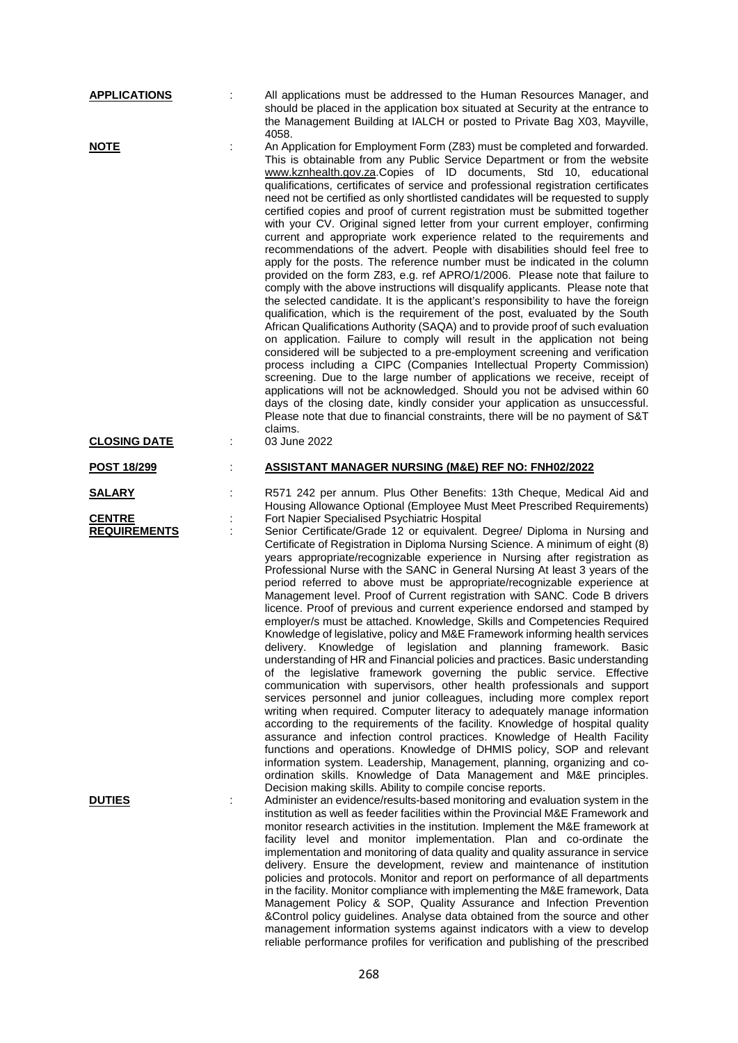| <b>APPLICATIONS</b>                  |   | All applications must be addressed to the Human Resources Manager, and<br>should be placed in the application box situated at Security at the entrance to<br>the Management Building at IALCH or posted to Private Bag X03, Mayville,<br>4058.                                                                                                                                                                                                                                                                                                                                                                                                                                                                                                                                                                                                                                                                                                                                                                                                                                                                                                                                                                                                                                                                                                                                                                                                                                                                                                                                                                                                                                                                                                                                                                   |
|--------------------------------------|---|------------------------------------------------------------------------------------------------------------------------------------------------------------------------------------------------------------------------------------------------------------------------------------------------------------------------------------------------------------------------------------------------------------------------------------------------------------------------------------------------------------------------------------------------------------------------------------------------------------------------------------------------------------------------------------------------------------------------------------------------------------------------------------------------------------------------------------------------------------------------------------------------------------------------------------------------------------------------------------------------------------------------------------------------------------------------------------------------------------------------------------------------------------------------------------------------------------------------------------------------------------------------------------------------------------------------------------------------------------------------------------------------------------------------------------------------------------------------------------------------------------------------------------------------------------------------------------------------------------------------------------------------------------------------------------------------------------------------------------------------------------------------------------------------------------------|
| <u>NOTE</u>                          | t | An Application for Employment Form (Z83) must be completed and forwarded.<br>This is obtainable from any Public Service Department or from the website<br>www.kznhealth.gov.za.Copies of ID documents, Std 10, educational<br>qualifications, certificates of service and professional registration certificates<br>need not be certified as only shortlisted candidates will be requested to supply<br>certified copies and proof of current registration must be submitted together<br>with your CV. Original signed letter from your current employer, confirming<br>current and appropriate work experience related to the requirements and<br>recommendations of the advert. People with disabilities should feel free to<br>apply for the posts. The reference number must be indicated in the column<br>provided on the form Z83, e.g. ref APRO/1/2006. Please note that failure to<br>comply with the above instructions will disqualify applicants. Please note that<br>the selected candidate. It is the applicant's responsibility to have the foreign<br>qualification, which is the requirement of the post, evaluated by the South<br>African Qualifications Authority (SAQA) and to provide proof of such evaluation<br>on application. Failure to comply will result in the application not being<br>considered will be subjected to a pre-employment screening and verification<br>process including a CIPC (Companies Intellectual Property Commission)<br>screening. Due to the large number of applications we receive, receipt of<br>applications will not be acknowledged. Should you not be advised within 60<br>days of the closing date, kindly consider your application as unsuccessful.<br>Please note that due to financial constraints, there will be no payment of S&T<br>claims. |
| <b>CLOSING DATE</b>                  | ÷ | 03 June 2022                                                                                                                                                                                                                                                                                                                                                                                                                                                                                                                                                                                                                                                                                                                                                                                                                                                                                                                                                                                                                                                                                                                                                                                                                                                                                                                                                                                                                                                                                                                                                                                                                                                                                                                                                                                                     |
| <b>POST 18/299</b>                   |   | <b>ASSISTANT MANAGER NURSING (M&amp;E) REF NO: FNH02/2022</b>                                                                                                                                                                                                                                                                                                                                                                                                                                                                                                                                                                                                                                                                                                                                                                                                                                                                                                                                                                                                                                                                                                                                                                                                                                                                                                                                                                                                                                                                                                                                                                                                                                                                                                                                                    |
| <b>SALARY</b>                        |   | R571 242 per annum. Plus Other Benefits: 13th Cheque, Medical Aid and<br>Housing Allowance Optional (Employee Must Meet Prescribed Requirements)                                                                                                                                                                                                                                                                                                                                                                                                                                                                                                                                                                                                                                                                                                                                                                                                                                                                                                                                                                                                                                                                                                                                                                                                                                                                                                                                                                                                                                                                                                                                                                                                                                                                 |
| <b>CENTRE</b><br><b>REQUIREMENTS</b> |   | Fort Napier Specialised Psychiatric Hospital<br>Senior Certificate/Grade 12 or equivalent. Degree/ Diploma in Nursing and<br>Certificate of Registration in Diploma Nursing Science. A minimum of eight (8)<br>years appropriate/recognizable experience in Nursing after registration as<br>Professional Nurse with the SANC in General Nursing At least 3 years of the<br>period referred to above must be appropriate/recognizable experience at<br>Management level. Proof of Current registration with SANC. Code B drivers<br>licence. Proof of previous and current experience endorsed and stamped by<br>employer/s must be attached. Knowledge, Skills and Competencies Required<br>Knowledge of legislative, policy and M&E Framework informing health services<br>delivery. Knowledge of legislation and planning framework. Basic<br>understanding of HR and Financial policies and practices. Basic understanding<br>of the legislative framework governing the public service. Effective<br>communication with supervisors, other health professionals and support<br>services personnel and junior colleagues, including more complex report<br>writing when required. Computer literacy to adequately manage information<br>according to the requirements of the facility. Knowledge of hospital quality<br>assurance and infection control practices. Knowledge of Health Facility<br>functions and operations. Knowledge of DHMIS policy, SOP and relevant<br>information system. Leadership, Management, planning, organizing and co-<br>ordination skills. Knowledge of Data Management and M&E principles.<br>Decision making skills. Ability to compile concise reports.                                                                                                                   |
| <b>DUTIES</b>                        |   | Administer an evidence/results-based monitoring and evaluation system in the<br>institution as well as feeder facilities within the Provincial M&E Framework and                                                                                                                                                                                                                                                                                                                                                                                                                                                                                                                                                                                                                                                                                                                                                                                                                                                                                                                                                                                                                                                                                                                                                                                                                                                                                                                                                                                                                                                                                                                                                                                                                                                 |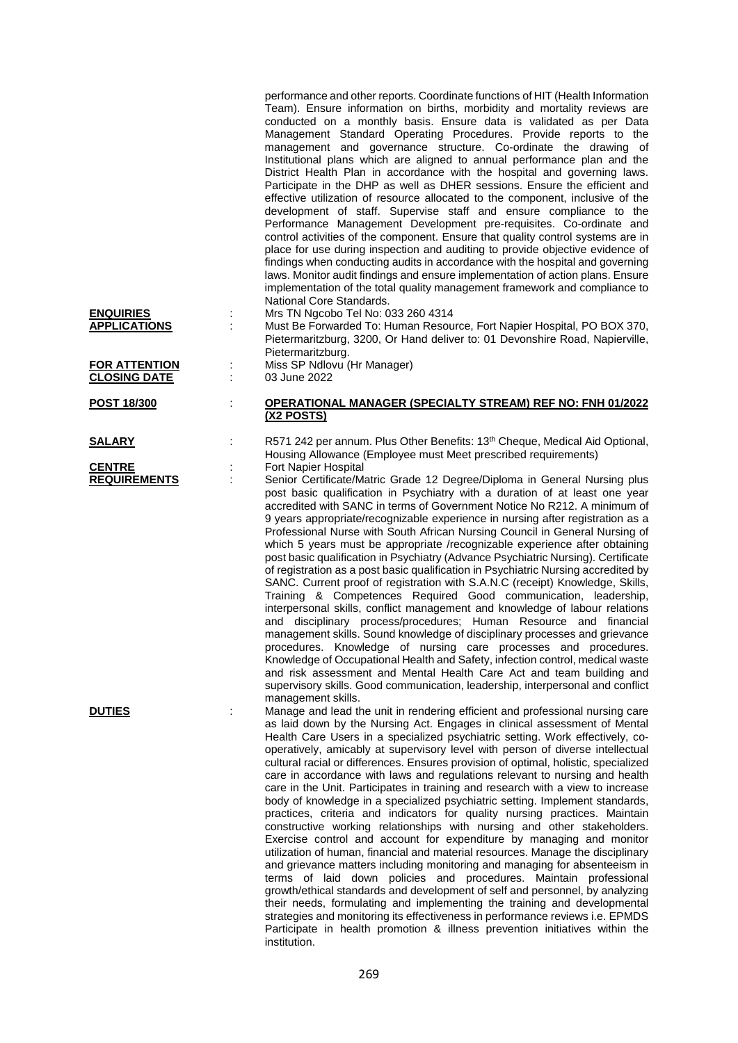| <b>ENQUIRIES</b><br><b>APPLICATIONS</b>     | ċ | performance and other reports. Coordinate functions of HIT (Health Information<br>Team). Ensure information on births, morbidity and mortality reviews are<br>conducted on a monthly basis. Ensure data is validated as per Data<br>Management Standard Operating Procedures. Provide reports to the<br>management and governance structure. Co-ordinate the drawing of<br>Institutional plans which are aligned to annual performance plan and the<br>District Health Plan in accordance with the hospital and governing laws.<br>Participate in the DHP as well as DHER sessions. Ensure the efficient and<br>effective utilization of resource allocated to the component, inclusive of the<br>development of staff. Supervise staff and ensure compliance to the<br>Performance Management Development pre-requisites. Co-ordinate and<br>control activities of the component. Ensure that quality control systems are in<br>place for use during inspection and auditing to provide objective evidence of<br>findings when conducting audits in accordance with the hospital and governing<br>laws. Monitor audit findings and ensure implementation of action plans. Ensure<br>implementation of the total quality management framework and compliance to<br>National Core Standards.<br>Mrs TN Ngcobo Tel No: 033 260 4314<br>Must Be Forwarded To: Human Resource, Fort Napier Hospital, PO BOX 370, |
|---------------------------------------------|---|--------------------------------------------------------------------------------------------------------------------------------------------------------------------------------------------------------------------------------------------------------------------------------------------------------------------------------------------------------------------------------------------------------------------------------------------------------------------------------------------------------------------------------------------------------------------------------------------------------------------------------------------------------------------------------------------------------------------------------------------------------------------------------------------------------------------------------------------------------------------------------------------------------------------------------------------------------------------------------------------------------------------------------------------------------------------------------------------------------------------------------------------------------------------------------------------------------------------------------------------------------------------------------------------------------------------------------------------------------------------------------------------------------------|
|                                             |   | Pietermaritzburg, 3200, Or Hand deliver to: 01 Devonshire Road, Napierville,                                                                                                                                                                                                                                                                                                                                                                                                                                                                                                                                                                                                                                                                                                                                                                                                                                                                                                                                                                                                                                                                                                                                                                                                                                                                                                                                 |
|                                             |   | Pietermaritzburg.<br>Miss SP Ndlovu (Hr Manager)                                                                                                                                                                                                                                                                                                                                                                                                                                                                                                                                                                                                                                                                                                                                                                                                                                                                                                                                                                                                                                                                                                                                                                                                                                                                                                                                                             |
| <b>FOR ATTENTION</b><br><b>CLOSING DATE</b> | ÷ | 03 June 2022                                                                                                                                                                                                                                                                                                                                                                                                                                                                                                                                                                                                                                                                                                                                                                                                                                                                                                                                                                                                                                                                                                                                                                                                                                                                                                                                                                                                 |
|                                             |   |                                                                                                                                                                                                                                                                                                                                                                                                                                                                                                                                                                                                                                                                                                                                                                                                                                                                                                                                                                                                                                                                                                                                                                                                                                                                                                                                                                                                              |
| <b>POST 18/300</b>                          | t | <b>OPERATIONAL MANAGER (SPECIALTY STREAM) REF NO: FNH 01/2022</b><br>(X2 POSTS)                                                                                                                                                                                                                                                                                                                                                                                                                                                                                                                                                                                                                                                                                                                                                                                                                                                                                                                                                                                                                                                                                                                                                                                                                                                                                                                              |
|                                             |   |                                                                                                                                                                                                                                                                                                                                                                                                                                                                                                                                                                                                                                                                                                                                                                                                                                                                                                                                                                                                                                                                                                                                                                                                                                                                                                                                                                                                              |
| <b>SALARY</b>                               |   | R571 242 per annum. Plus Other Benefits: 13 <sup>th</sup> Cheque, Medical Aid Optional,                                                                                                                                                                                                                                                                                                                                                                                                                                                                                                                                                                                                                                                                                                                                                                                                                                                                                                                                                                                                                                                                                                                                                                                                                                                                                                                      |
| <b>CENTRE</b>                               |   | Housing Allowance (Employee must Meet prescribed requirements)<br>Fort Napier Hospital                                                                                                                                                                                                                                                                                                                                                                                                                                                                                                                                                                                                                                                                                                                                                                                                                                                                                                                                                                                                                                                                                                                                                                                                                                                                                                                       |
| <b>REQUIREMENTS</b>                         | ÷ | Senior Certificate/Matric Grade 12 Degree/Diploma in General Nursing plus                                                                                                                                                                                                                                                                                                                                                                                                                                                                                                                                                                                                                                                                                                                                                                                                                                                                                                                                                                                                                                                                                                                                                                                                                                                                                                                                    |
|                                             |   | post basic qualification in Psychiatry with a duration of at least one year<br>accredited with SANC in terms of Government Notice No R212. A minimum of<br>9 years appropriate/recognizable experience in nursing after registration as a<br>Professional Nurse with South African Nursing Council in General Nursing of<br>which 5 years must be appropriate /recognizable experience after obtaining<br>post basic qualification in Psychiatry (Advance Psychiatric Nursing). Certificate<br>of registration as a post basic qualification in Psychiatric Nursing accredited by<br>SANC. Current proof of registration with S.A.N.C (receipt) Knowledge, Skills,<br>Training & Competences Required Good communication, leadership,<br>interpersonal skills, conflict management and knowledge of labour relations<br>and disciplinary process/procedures; Human Resource and financial<br>management skills. Sound knowledge of disciplinary processes and grievance<br>procedures. Knowledge of nursing care processes and procedures.<br>Knowledge of Occupational Health and Safety, infection control, medical waste<br>and risk assessment and Mental Health Care Act and team building and<br>supervisory skills. Good communication, leadership, interpersonal and conflict<br>management skills.                                                                                                  |
| <b>DUTIES</b>                               |   | Manage and lead the unit in rendering efficient and professional nursing care<br>as laid down by the Nursing Act. Engages in clinical assessment of Mental<br>Health Care Users in a specialized psychiatric setting. Work effectively, co-<br>operatively, amicably at supervisory level with person of diverse intellectual<br>cultural racial or differences. Ensures provision of optimal, holistic, specialized<br>care in accordance with laws and regulations relevant to nursing and health<br>care in the Unit. Participates in training and research with a view to increase<br>body of knowledge in a specialized psychiatric setting. Implement standards,<br>practices, criteria and indicators for quality nursing practices. Maintain<br>constructive working relationships with nursing and other stakeholders.<br>Exercise control and account for expenditure by managing and monitor<br>utilization of human, financial and material resources. Manage the disciplinary<br>and grievance matters including monitoring and managing for absenteeism in<br>terms of laid down policies and procedures. Maintain professional<br>growth/ethical standards and development of self and personnel, by analyzing<br>their needs, formulating and implementing the training and developmental<br>strategies and monitoring its effectiveness in performance reviews i.e. EPMDS                   |

269

institution.

Participate in health promotion & illness prevention initiatives within the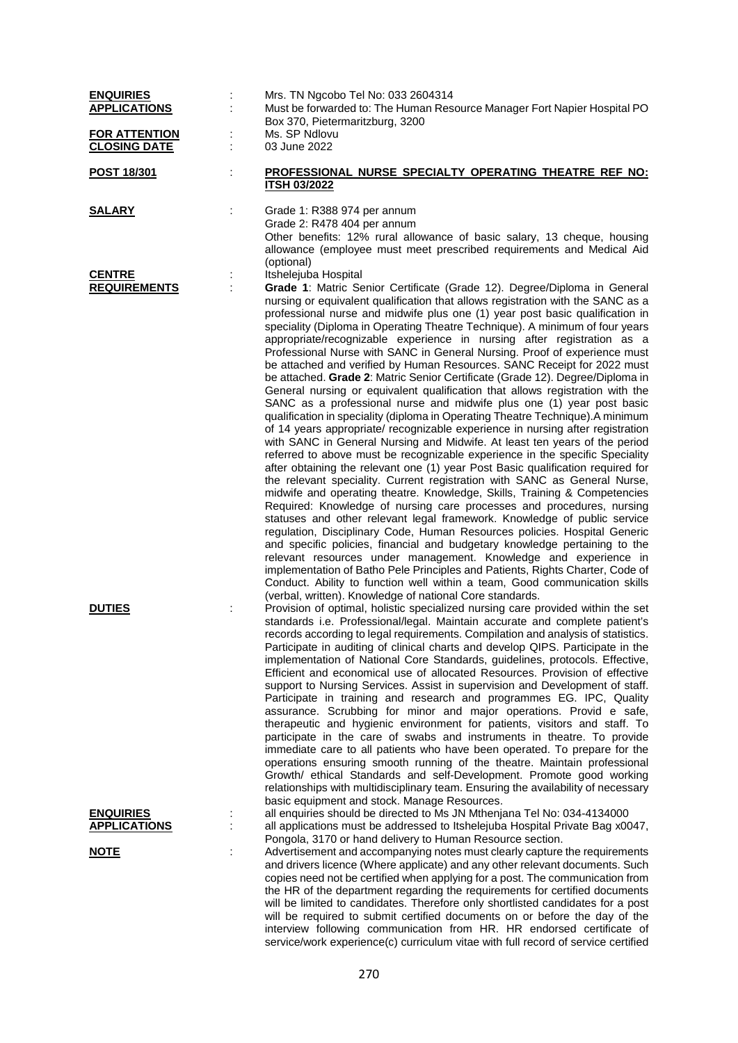| <b>ENQUIRIES</b><br><b>APPLICATIONS</b>                |   | Mrs. TN Ngcobo Tel No: 033 2604314<br>Must be forwarded to: The Human Resource Manager Fort Napier Hospital PO<br>Box 370, Pietermaritzburg, 3200                                                                                                                                                                                                                                                                                                                                                                                                                                                                                                                                                                                                                                                                                                                                                                                                                                                                                                                                                                                                                                                                                                                                                                                                                                                                                                                                                                                                                                                                                                                                                                                                                                                                                                                                                                                                                   |
|--------------------------------------------------------|---|---------------------------------------------------------------------------------------------------------------------------------------------------------------------------------------------------------------------------------------------------------------------------------------------------------------------------------------------------------------------------------------------------------------------------------------------------------------------------------------------------------------------------------------------------------------------------------------------------------------------------------------------------------------------------------------------------------------------------------------------------------------------------------------------------------------------------------------------------------------------------------------------------------------------------------------------------------------------------------------------------------------------------------------------------------------------------------------------------------------------------------------------------------------------------------------------------------------------------------------------------------------------------------------------------------------------------------------------------------------------------------------------------------------------------------------------------------------------------------------------------------------------------------------------------------------------------------------------------------------------------------------------------------------------------------------------------------------------------------------------------------------------------------------------------------------------------------------------------------------------------------------------------------------------------------------------------------------------|
| <b>FOR ATTENTION</b><br><b>CLOSING DATE</b>            | ÷ | Ms. SP Ndlovu<br>03 June 2022                                                                                                                                                                                                                                                                                                                                                                                                                                                                                                                                                                                                                                                                                                                                                                                                                                                                                                                                                                                                                                                                                                                                                                                                                                                                                                                                                                                                                                                                                                                                                                                                                                                                                                                                                                                                                                                                                                                                       |
| <u>POST 18/301</u>                                     | ÷ | PROFESSIONAL NURSE SPECIALTY OPERATING THEATRE REF NO:<br><b>ITSH 03/2022</b>                                                                                                                                                                                                                                                                                                                                                                                                                                                                                                                                                                                                                                                                                                                                                                                                                                                                                                                                                                                                                                                                                                                                                                                                                                                                                                                                                                                                                                                                                                                                                                                                                                                                                                                                                                                                                                                                                       |
| <u>SALARY</u>                                          | ÷ | Grade 1: R388 974 per annum<br>Grade 2: R478 404 per annum<br>Other benefits: 12% rural allowance of basic salary, 13 cheque, housing<br>allowance (employee must meet prescribed requirements and Medical Aid<br>(optional)                                                                                                                                                                                                                                                                                                                                                                                                                                                                                                                                                                                                                                                                                                                                                                                                                                                                                                                                                                                                                                                                                                                                                                                                                                                                                                                                                                                                                                                                                                                                                                                                                                                                                                                                        |
| <b>CENTRE</b><br><b>REQUIREMENTS</b>                   |   | Itshelejuba Hospital<br>Grade 1: Matric Senior Certificate (Grade 12). Degree/Diploma in General<br>nursing or equivalent qualification that allows registration with the SANC as a<br>professional nurse and midwife plus one (1) year post basic qualification in<br>speciality (Diploma in Operating Theatre Technique). A minimum of four years<br>appropriate/recognizable experience in nursing after registration as a<br>Professional Nurse with SANC in General Nursing. Proof of experience must<br>be attached and verified by Human Resources. SANC Receipt for 2022 must<br>be attached. Grade 2: Matric Senior Certificate (Grade 12). Degree/Diploma in<br>General nursing or equivalent qualification that allows registration with the<br>SANC as a professional nurse and midwife plus one (1) year post basic<br>qualification in speciality (diploma in Operating Theatre Technique). A minimum<br>of 14 years appropriate/ recognizable experience in nursing after registration<br>with SANC in General Nursing and Midwife. At least ten years of the period<br>referred to above must be recognizable experience in the specific Speciality<br>after obtaining the relevant one (1) year Post Basic qualification required for<br>the relevant speciality. Current registration with SANC as General Nurse,<br>midwife and operating theatre. Knowledge, Skills, Training & Competencies<br>Required: Knowledge of nursing care processes and procedures, nursing<br>statuses and other relevant legal framework. Knowledge of public service<br>regulation, Disciplinary Code, Human Resources policies. Hospital Generic<br>and specific policies, financial and budgetary knowledge pertaining to the<br>relevant resources under management. Knowledge and experience in<br>implementation of Batho Pele Principles and Patients, Rights Charter, Code of<br>Conduct. Ability to function well within a team, Good communication skills |
| <b>DUTIES</b>                                          |   | (verbal, written). Knowledge of national Core standards.<br>Provision of optimal, holistic specialized nursing care provided within the set<br>standards i.e. Professional/legal. Maintain accurate and complete patient's<br>records according to legal requirements. Compilation and analysis of statistics.<br>Participate in auditing of clinical charts and develop QIPS. Participate in the<br>implementation of National Core Standards, guidelines, protocols. Effective,<br>Efficient and economical use of allocated Resources. Provision of effective<br>support to Nursing Services. Assist in supervision and Development of staff.<br>Participate in training and research and programmes EG. IPC, Quality<br>assurance. Scrubbing for minor and major operations. Provid e safe,<br>therapeutic and hygienic environment for patients, visitors and staff. To<br>participate in the care of swabs and instruments in theatre. To provide<br>immediate care to all patients who have been operated. To prepare for the<br>operations ensuring smooth running of the theatre. Maintain professional<br>Growth/ ethical Standards and self-Development. Promote good working<br>relationships with multidisciplinary team. Ensuring the availability of necessary                                                                                                                                                                                                                                                                                                                                                                                                                                                                                                                                                                                                                                                                                       |
| <b>ENQUIRIES</b><br><b>APPLICATIONS</b><br><b>NOTE</b> | ÷ | basic equipment and stock. Manage Resources.<br>all enquiries should be directed to Ms JN Mthenjana Tel No: 034-4134000<br>all applications must be addressed to Itshelejuba Hospital Private Bag x0047,<br>Pongola, 3170 or hand delivery to Human Resource section.<br>Advertisement and accompanying notes must clearly capture the requirements<br>and drivers licence (Where applicate) and any other relevant documents. Such<br>copies need not be certified when applying for a post. The communication from<br>the HR of the department regarding the requirements for certified documents<br>will be limited to candidates. Therefore only shortlisted candidates for a post<br>will be required to submit certified documents on or before the day of the<br>interview following communication from HR. HR endorsed certificate of<br>service/work experience(c) curriculum vitae with full record of service certified                                                                                                                                                                                                                                                                                                                                                                                                                                                                                                                                                                                                                                                                                                                                                                                                                                                                                                                                                                                                                                  |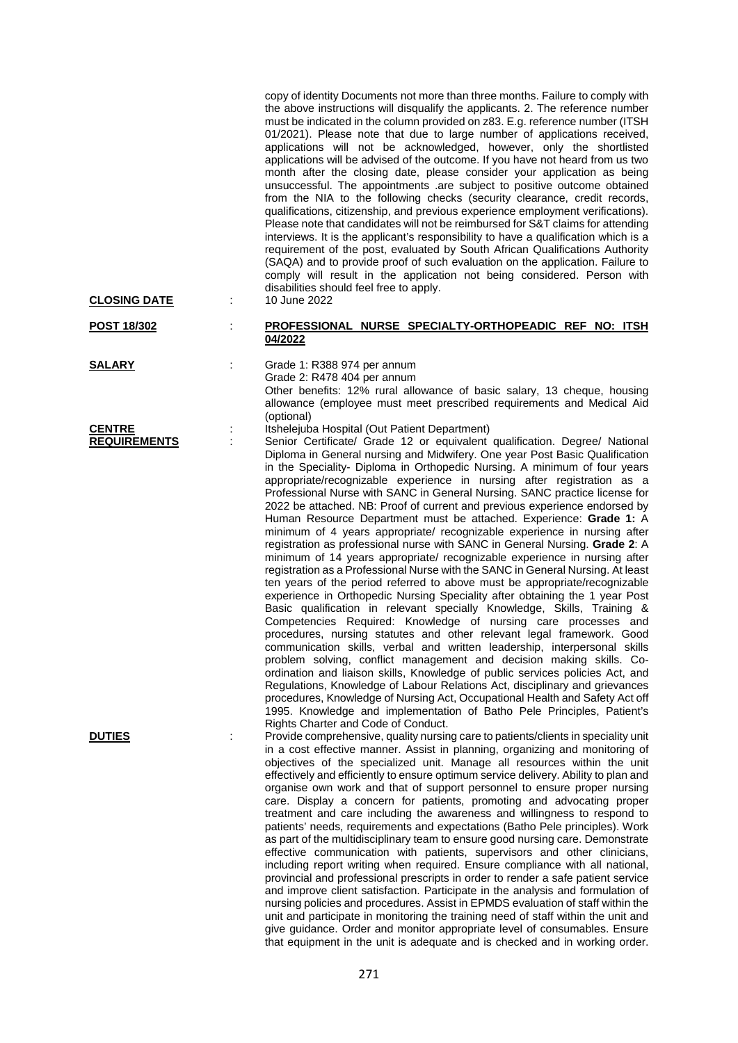| <b>CLOSING DATE</b>                  | copy of identity Documents not more than three months. Failure to comply with<br>the above instructions will disqualify the applicants. 2. The reference number<br>must be indicated in the column provided on z83. E.g. reference number (ITSH<br>01/2021). Please note that due to large number of applications received,<br>applications will not be acknowledged, however, only the shortlisted<br>applications will be advised of the outcome. If you have not heard from us two<br>month after the closing date, please consider your application as being<br>unsuccessful. The appointments .are subject to positive outcome obtained<br>from the NIA to the following checks (security clearance, credit records,<br>qualifications, citizenship, and previous experience employment verifications).<br>Please note that candidates will not be reimbursed for S&T claims for attending<br>interviews. It is the applicant's responsibility to have a qualification which is a<br>requirement of the post, evaluated by South African Qualifications Authority<br>(SAQA) and to provide proof of such evaluation on the application. Failure to<br>comply will result in the application not being considered. Person with<br>disabilities should feel free to apply.<br>10 June 2022                                                                                                                                                                                                                                                                                                                                                                                                                                                                                                    |
|--------------------------------------|--------------------------------------------------------------------------------------------------------------------------------------------------------------------------------------------------------------------------------------------------------------------------------------------------------------------------------------------------------------------------------------------------------------------------------------------------------------------------------------------------------------------------------------------------------------------------------------------------------------------------------------------------------------------------------------------------------------------------------------------------------------------------------------------------------------------------------------------------------------------------------------------------------------------------------------------------------------------------------------------------------------------------------------------------------------------------------------------------------------------------------------------------------------------------------------------------------------------------------------------------------------------------------------------------------------------------------------------------------------------------------------------------------------------------------------------------------------------------------------------------------------------------------------------------------------------------------------------------------------------------------------------------------------------------------------------------------------------------------------------------------------------------------------------------|
| POST 18/302                          | PROFESSIONAL NURSE SPECIALTY-ORTHOPEADIC REF NO: ITSH<br>04/2022                                                                                                                                                                                                                                                                                                                                                                                                                                                                                                                                                                                                                                                                                                                                                                                                                                                                                                                                                                                                                                                                                                                                                                                                                                                                                                                                                                                                                                                                                                                                                                                                                                                                                                                                 |
| <b>SALARY</b>                        | Grade 1: R388 974 per annum<br>Grade 2: R478 404 per annum<br>Other benefits: 12% rural allowance of basic salary, 13 cheque, housing<br>allowance (employee must meet prescribed requirements and Medical Aid<br>(optional)                                                                                                                                                                                                                                                                                                                                                                                                                                                                                                                                                                                                                                                                                                                                                                                                                                                                                                                                                                                                                                                                                                                                                                                                                                                                                                                                                                                                                                                                                                                                                                     |
| <b>CENTRE</b><br><b>REQUIREMENTS</b> | Itshelejuba Hospital (Out Patient Department)<br>Senior Certificate/ Grade 12 or equivalent qualification. Degree/ National<br>Diploma in General nursing and Midwifery. One year Post Basic Qualification<br>in the Speciality- Diploma in Orthopedic Nursing. A minimum of four years<br>appropriate/recognizable experience in nursing after registration as a<br>Professional Nurse with SANC in General Nursing. SANC practice license for<br>2022 be attached. NB: Proof of current and previous experience endorsed by<br>Human Resource Department must be attached. Experience: Grade 1: A<br>minimum of 4 years appropriate/ recognizable experience in nursing after<br>registration as professional nurse with SANC in General Nursing. Grade 2: A<br>minimum of 14 years appropriate/ recognizable experience in nursing after<br>registration as a Professional Nurse with the SANC in General Nursing. At least<br>ten years of the period referred to above must be appropriate/recognizable<br>experience in Orthopedic Nursing Speciality after obtaining the 1 year Post<br>Basic qualification in relevant specially Knowledge, Skills, Training &<br>Competencies Required: Knowledge of nursing care processes and<br>procedures, nursing statutes and other relevant legal framework. Good<br>communication skills, verbal and written leadership, interpersonal skills<br>problem solving, conflict management and decision making skills. Co-<br>ordination and liaison skills, Knowledge of public services policies Act, and<br>Regulations, Knowledge of Labour Relations Act, disciplinary and grievances<br>procedures, Knowledge of Nursing Act, Occupational Health and Safety Act off<br>1995. Knowledge and implementation of Batho Pele Principles, Patient's |
| <b>DUTIES</b>                        | Rights Charter and Code of Conduct.<br>Provide comprehensive, quality nursing care to patients/clients in speciality unit<br>in a cost effective manner. Assist in planning, organizing and monitoring of<br>objectives of the specialized unit. Manage all resources within the unit<br>effectively and efficiently to ensure optimum service delivery. Ability to plan and<br>organise own work and that of support personnel to ensure proper nursing<br>care. Display a concern for patients, promoting and advocating proper<br>treatment and care including the awareness and willingness to respond to<br>patients' needs, requirements and expectations (Batho Pele principles). Work<br>as part of the multidisciplinary team to ensure good nursing care. Demonstrate<br>effective communication with patients, supervisors and other clinicians,<br>including report writing when required. Ensure compliance with all national,<br>provincial and professional prescripts in order to render a safe patient service<br>and improve client satisfaction. Participate in the analysis and formulation of<br>nursing policies and procedures. Assist in EPMDS evaluation of staff within the<br>unit and participate in monitoring the training need of staff within the unit and<br>give guidance. Order and monitor appropriate level of consumables. Ensure<br>that equipment in the unit is adequate and is checked and in working order.                                                                                                                                                                                                                                                                                                                                           |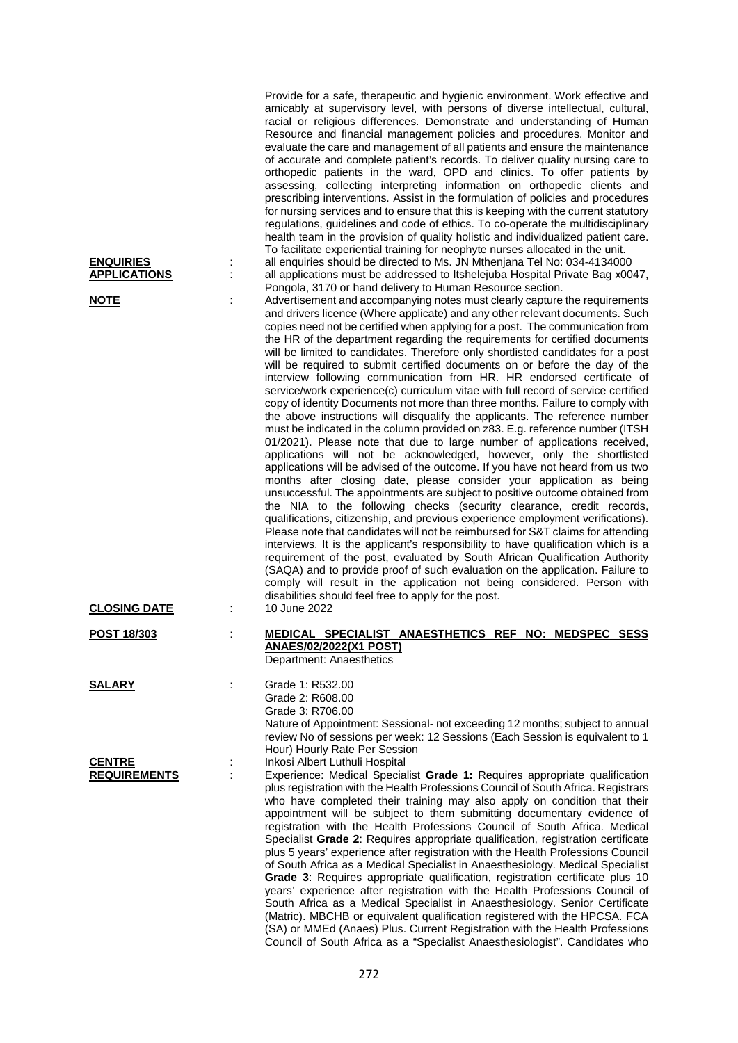| <b>ENQUIRIES</b><br><b>APPLICATIONS</b><br><b>NOTE</b><br><b>CLOSING DATE</b> |   | Provide for a safe, therapeutic and hygienic environment. Work effective and<br>amicably at supervisory level, with persons of diverse intellectual, cultural,<br>racial or religious differences. Demonstrate and understanding of Human<br>Resource and financial management policies and procedures. Monitor and<br>evaluate the care and management of all patients and ensure the maintenance<br>of accurate and complete patient's records. To deliver quality nursing care to<br>orthopedic patients in the ward, OPD and clinics. To offer patients by<br>assessing, collecting interpreting information on orthopedic clients and<br>prescribing interventions. Assist in the formulation of policies and procedures<br>for nursing services and to ensure that this is keeping with the current statutory<br>regulations, guidelines and code of ethics. To co-operate the multidisciplinary<br>health team in the provision of quality holistic and individualized patient care.<br>To facilitate experiential training for neophyte nurses allocated in the unit.<br>all enquiries should be directed to Ms. JN Mthenjana Tel No: 034-4134000<br>all applications must be addressed to Itshelejuba Hospital Private Bag x0047,<br>Pongola, 3170 or hand delivery to Human Resource section.<br>Advertisement and accompanying notes must clearly capture the requirements<br>and drivers licence (Where applicate) and any other relevant documents. Such<br>copies need not be certified when applying for a post. The communication from<br>the HR of the department regarding the requirements for certified documents<br>will be limited to candidates. Therefore only shortlisted candidates for a post<br>will be required to submit certified documents on or before the day of the<br>interview following communication from HR. HR endorsed certificate of<br>service/work experience(c) curriculum vitae with full record of service certified<br>copy of identity Documents not more than three months. Failure to comply with<br>the above instructions will disqualify the applicants. The reference number<br>must be indicated in the column provided on z83. E.g. reference number (ITSH<br>01/2021). Please note that due to large number of applications received,<br>applications will not be acknowledged, however, only the shortlisted<br>applications will be advised of the outcome. If you have not heard from us two<br>months after closing date, please consider your application as being<br>unsuccessful. The appointments are subject to positive outcome obtained from<br>the NIA to the following checks (security clearance, credit records,<br>qualifications, citizenship, and previous experience employment verifications).<br>Please note that candidates will not be reimbursed for S&T claims for attending<br>interviews. It is the applicant's responsibility to have qualification which is a<br>requirement of the post, evaluated by South African Qualification Authority<br>(SAQA) and to provide proof of such evaluation on the application. Failure to<br>comply will result in the application not being considered. Person with<br>disabilities should feel free to apply for the post.<br>10 June 2022 |
|-------------------------------------------------------------------------------|---|--------------------------------------------------------------------------------------------------------------------------------------------------------------------------------------------------------------------------------------------------------------------------------------------------------------------------------------------------------------------------------------------------------------------------------------------------------------------------------------------------------------------------------------------------------------------------------------------------------------------------------------------------------------------------------------------------------------------------------------------------------------------------------------------------------------------------------------------------------------------------------------------------------------------------------------------------------------------------------------------------------------------------------------------------------------------------------------------------------------------------------------------------------------------------------------------------------------------------------------------------------------------------------------------------------------------------------------------------------------------------------------------------------------------------------------------------------------------------------------------------------------------------------------------------------------------------------------------------------------------------------------------------------------------------------------------------------------------------------------------------------------------------------------------------------------------------------------------------------------------------------------------------------------------------------------------------------------------------------------------------------------------------------------------------------------------------------------------------------------------------------------------------------------------------------------------------------------------------------------------------------------------------------------------------------------------------------------------------------------------------------------------------------------------------------------------------------------------------------------------------------------------------------------------------------------------------------------------------------------------------------------------------------------------------------------------------------------------------------------------------------------------------------------------------------------------------------------------------------------------------------------------------------------------------------------------------------------------------------------------------------------------------------------------------------------------------------------------------------------------------------------------------------------------------------------------------------------------------------------------------------------------------|
|                                                                               |   |                                                                                                                                                                                                                                                                                                                                                                                                                                                                                                                                                                                                                                                                                                                                                                                                                                                                                                                                                                                                                                                                                                                                                                                                                                                                                                                                                                                                                                                                                                                                                                                                                                                                                                                                                                                                                                                                                                                                                                                                                                                                                                                                                                                                                                                                                                                                                                                                                                                                                                                                                                                                                                                                                                                                                                                                                                                                                                                                                                                                                                                                                                                                                                                                                                                                          |
| POST 18/303                                                                   |   | MEDICAL SPECIALIST ANAESTHETICS REF NO: MEDSPEC SESS<br><b>ANAES/02/2022(X1 POST)</b><br>Department: Anaesthetics                                                                                                                                                                                                                                                                                                                                                                                                                                                                                                                                                                                                                                                                                                                                                                                                                                                                                                                                                                                                                                                                                                                                                                                                                                                                                                                                                                                                                                                                                                                                                                                                                                                                                                                                                                                                                                                                                                                                                                                                                                                                                                                                                                                                                                                                                                                                                                                                                                                                                                                                                                                                                                                                                                                                                                                                                                                                                                                                                                                                                                                                                                                                                        |
| <b>SALARY</b>                                                                 |   | Grade 1: R532.00<br>Grade 2: R608.00<br>Grade 3: R706.00<br>Nature of Appointment: Sessional- not exceeding 12 months; subject to annual<br>review No of sessions per week: 12 Sessions (Each Session is equivalent to 1<br>Hour) Hourly Rate Per Session                                                                                                                                                                                                                                                                                                                                                                                                                                                                                                                                                                                                                                                                                                                                                                                                                                                                                                                                                                                                                                                                                                                                                                                                                                                                                                                                                                                                                                                                                                                                                                                                                                                                                                                                                                                                                                                                                                                                                                                                                                                                                                                                                                                                                                                                                                                                                                                                                                                                                                                                                                                                                                                                                                                                                                                                                                                                                                                                                                                                                |
| <b>CENTRE</b><br><b>REQUIREMENTS</b>                                          | ÷ | Inkosi Albert Luthuli Hospital<br>Experience: Medical Specialist Grade 1: Requires appropriate qualification<br>plus registration with the Health Professions Council of South Africa. Registrars<br>who have completed their training may also apply on condition that their<br>appointment will be subject to them submitting documentary evidence of<br>registration with the Health Professions Council of South Africa. Medical<br>Specialist Grade 2: Requires appropriate qualification, registration certificate<br>plus 5 years' experience after registration with the Health Professions Council<br>of South Africa as a Medical Specialist in Anaesthesiology. Medical Specialist<br>Grade 3: Requires appropriate qualification, registration certificate plus 10<br>years' experience after registration with the Health Professions Council of<br>South Africa as a Medical Specialist in Anaesthesiology. Senior Certificate<br>(Matric). MBCHB or equivalent qualification registered with the HPCSA. FCA<br>(SA) or MMEd (Anaes) Plus. Current Registration with the Health Professions<br>Council of South Africa as a "Specialist Anaesthesiologist". Candidates who                                                                                                                                                                                                                                                                                                                                                                                                                                                                                                                                                                                                                                                                                                                                                                                                                                                                                                                                                                                                                                                                                                                                                                                                                                                                                                                                                                                                                                                                                                                                                                                                                                                                                                                                                                                                                                                                                                                                                                                                                                                                                 |